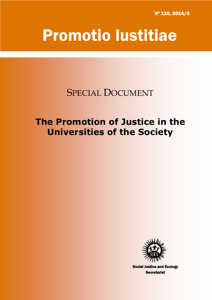Nº 116, 2014/3

# Promotio Iustitiae

SPECIAL DOCUMENT

## **The Promotion of Justice in the Universities of the Society**



Social Justice and Ecology **Secretariat**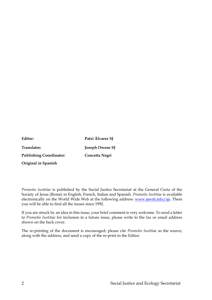| Editor:                        | Patxi Álvarez SJ       |
|--------------------------------|------------------------|
| Translator:                    | <b>Joseph Owens SJ</b> |
| <b>Publishing Coordinator:</b> | Concetta Negri         |
| Original in Spanish            |                        |

*Promotio Iustitiae* is published by the Social Justice Secretariat at the General Curia of the Society of Jesus (Rome) in English, French, Italian and Spanish. *Promotio Iustitiae* is available electronically on the World Wide Web at the following address: [www.sjweb.info/sjs.](http://www.sjweb.info/sjs) There you will be able to find all the issues since 1992.

If you are struck by an idea in this issue, your brief comment is very welcome. To send a letter to *Promotio Iustitiae* for inclusion in a future issue, please write to the fax or email address shown on the back cover.

The re-printing of the document is encouraged; please cite *Promotio Iustitiae* as the source, along with the address, and send a copy of the re-print to the Editor.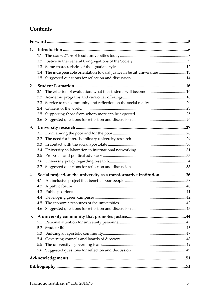## **Contents**

| 1. |     |                                                                         |  |
|----|-----|-------------------------------------------------------------------------|--|
|    | 1.1 |                                                                         |  |
|    | 1.2 |                                                                         |  |
|    | 1.3 |                                                                         |  |
|    | 1.4 | The indispensable orientation toward justice in Jesuit universities  13 |  |
|    | 1.5 |                                                                         |  |
| 2. |     |                                                                         |  |
|    | 2.1 |                                                                         |  |
|    | 2.2 |                                                                         |  |
|    | 2.3 |                                                                         |  |
|    | 2.4 |                                                                         |  |
|    | 2.5 |                                                                         |  |
|    | 2.6 |                                                                         |  |
| 3. |     |                                                                         |  |
|    | 3.1 |                                                                         |  |
|    | 3.2 |                                                                         |  |
|    | 3.3 |                                                                         |  |
|    | 3.4 |                                                                         |  |
|    | 3.5 |                                                                         |  |
|    | 3.6 |                                                                         |  |
|    | 3.7 |                                                                         |  |
| 4. |     | Social projection: the university as a transformative institution 36    |  |
|    | 4.1 |                                                                         |  |
|    | 4.2 |                                                                         |  |
|    | 4.3 |                                                                         |  |
|    |     |                                                                         |  |
|    | 4.5 |                                                                         |  |
|    | 4.6 |                                                                         |  |
| 5. |     |                                                                         |  |
|    | 5.1 |                                                                         |  |
|    | 5.2 |                                                                         |  |
|    | 5.3 |                                                                         |  |
|    | 5.4 |                                                                         |  |
|    | 5.5 |                                                                         |  |
|    | 5.6 |                                                                         |  |
|    |     |                                                                         |  |
|    |     |                                                                         |  |
|    |     |                                                                         |  |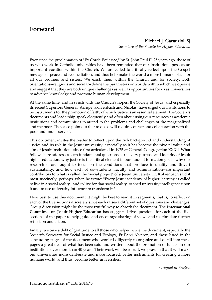### <span id="page-4-0"></span>**Forward**

Michael J. Garanzini, SI *Secretary of the Society for Higher Education*

Ever since the proclamation of "Ex Corde Ecclesiae," by St. John Paul II, 25 years ago, those of us who work in Catholic universities have been reminded that our institutions possess an important vocation within the Church. We are called to critically reflect upon the Gospel message of peace and reconciliation, and thus help make the world a more humane place for all our brothers and sisters. We exist, then, within the Church and for society. Both orientations--religious and secular--define the parameters or worlds within which we operate and suggest that they are both unique challenges as well as opportunities for us as universities to advance knowledge and promote human development.

At the same time, and in synch with the Church's hopes, the Society of Jesus, and especially its recent Superiors General, Arrupe, Kolvenbach and Nicolas, have urged our institutions to be instruments for the promotion of faith, of which justice is an essential element. The Society's documents and leadership speak eloquently and often about using our resources as academic institutions and communities to attend to the problems and challenges of the marginalized and the poor. They also point out that to do so will require contact and collaboration with the poor and under-served.

This document invites the reader to reflect upon the rich background and understanding of justice and its role in the Jesuit university, especially as it has become the pivotal value and aim of Jesuit institutions since first articulated in 1975 at General Congregation XXXII. What follows here addresses such fundamental questions as the very purpose and identity of Jesuit higher education, why justice is the critical element in our student formation goals, why our research efforts ought to focus on the conditions that produce inequality and thwart sustainability, and how each of us--students, faculty and administration--are important contributors to what is called the "social project" of a Jesuit university. Fr. Kolvenbach said it most succinctly, perhaps, when he wrote: "Every Jesuit academy of higher learning is called to live in a social reality...and to live for that social reality, to shed university intelligence upon it and to use university influence to transform it."

How best to use this document? It might be best to read it in segments, that is, to reflect on each of the five sections discretely since each raises a different set of questions and challenges. Group discussion might be the most fruitful way to absorb the document. The **International Committee on Jesuit Higher Education** has suggested five questions for each of the five sections of the paper to help guide and encourage sharing of views and to stimulate further reflection and action.

Finally, we owe a debt of gratitude to all those who helped write the document, especially the Society's Secretary for Social Justice and Ecology, Fr Patxi Alvarez, and those listed in the concluding pages of the document who worked diligently to organize and distill into these pages a great deal of what has been said and written about the promotion of Justice in our institutions over more than 40 years. Their work will bear fruit, we pray, in that it will make our universities more deliberate and more focused, better instruments for creating a more humane world, and thus, become better universities.

*Original in English*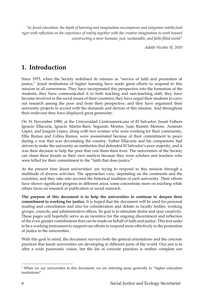*"In Jesuit education, the depth of learning and imagination encompasses and integrates intellectual rigor with reflection on the experience of reality together with the creative imagination to work toward constructing a more humane, just, sustainable, and faith-filled world"* 

*Adolfo Nicolás SJ, 2010*

## <span id="page-5-0"></span>**1. Introduction**

Since 1975, when the Society redefined its mission as "service of faith and promotion of justice," Jesuit institutions of higher learning have made great efforts to respond to this mission in all earnestness. They have incorporated this perspective into the formation of the students; they have communicated it to both teaching and non-teaching staff; they have become involved in the social issues of their countries; they have urged their students to carry out research among the poor and from their perspective; and they have organized their university projects in accord with the demands and dictum of this mission. And throughout their endevour they have displayed great generosity.

On 16 November 1989, at the Universidad Centroamericana of El Salvador, Jesuit Fathers Ignacio Ellacuría, Ignacio Martín-Baró, Segundo Montes, Juan Ramón Moreno, Amando López, and Joaquín López, along with two women who were working for their community, Elba Ramos and Celina Ramos, were assassinated because of their commitment to peace during a war that was devastating the country. Father Ellacuría and his companions had striven to make the university an institution that defended El Salvador's poor majority, and it was their decision to help the poor that cost them their lives. The universities of the Society can claim these Jesuits as their own martyrs because they were scholars and teachers who were killed for their commitment to the "faith that does justice."

At the present time Jesuit universities<sup>1</sup> are trying to respond to this mission through a multitude of diverse activities. The approaches vary, depending on the continents and the countries, and they take into account the historical tradition of each university. Their efforts have shown significant progress in different areas, some concentrate more on teaching while others focus on research or publication or social outreach.

**The purpose of this document is to help the universities to continue to deepen their commitment to working for justice.** It is hoped that the document will be used for personal reading and consultation and also for consideration and debate in faculty bodies, working groups, councils, and administrative offices. Its goal is to stimulate desire and spur creativity. These pages will hopefully serve as an incentive for the ongoing discernment and reflection of the even greater contributions that can be made on behalf of faith and justice. This text seeks to be a working instrument to support our efforts to respond more effectively to the promotion of justice in the universities.

With this goal in mind, the document surveys both the general orientations and the concrete practices that Jesuit universities are developing in different parts of the world. Our aim is to offer a wide panoramic vision, but the list of concrete practices is neither complete nor

 $\overline{a}$ <sup>1</sup> When we say universities in this document, we are referring more generally to "higher education institutions".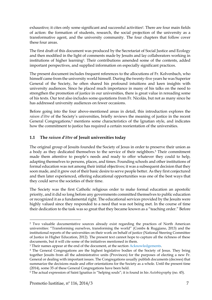exhaustive; it cites only some significant and successful activities<sup>2</sup>. There are four main fields of action: the formation of students, research, the social projection of the university as a transformative agent, and the university community. The four chapters that follow cover these four areas.

The first draft of this document was produced by the Secretariat of Social Justice and Ecology and then modified in the light of comments made by Jesuits and lay collaborators working in institutions of higher learning3. Their contributions amended some of the contents, added important perspectives, and supplied information on especially significant practices.

The present document includes frequent references to the allocutions of Fr. Kolvenbach, who himself came from the university world himself. During the twenty-five years he was Superior General of the Society, he often shared his profound intuitions and keen insights with university audiences. Since he placed much importance in many of his talks on the need to strengthen the promotion of justice in our universities, there is great value in rereading some of his texts. Our text also includes some quotations from Fr. Nicolás, but not as many since he has addressed university audiences on fewer occasions.

Before going into the four above-mentioned areas in detail, this introduction explores the *raison d'être* of the Society's universities, briefly reviews the meaning of justice in the recent General Congregations,<sup>4</sup> mentions some characteristics of the Ignatian style, and indicates how the commitment to justice has required a certain reorientation of the universities.

#### <span id="page-6-0"></span>**1.1 The** *raison d'être* **of Jesuit universities today**

The original group of Jesuits founded the Society of Jesus in order to preserve their union as a body as they dedicated themselves to the service of their neighbors.<sup>5</sup> Their commitment made them attentive to people's needs and ready to offer whatever they could to help, adapting themselves to persons, places, and times. Founding schools and other institutions of formal education was not among their initial objectives; it was a subsequent decision that they soon made, and it grew out of their basic desire to serve people better. As they first conjectured and then later experienced, offering educational opportunities was one of the best ways that they could serve the societies of their time.

The Society was the first Catholic religious order to make formal education an apostolic priority, and it did so long before any governments committed themselves to public education or recognized it as a fundamental right. The educational services provided by the Jesuits were highly valued since they responded to a need that was not being met. In the course of time their dedication to the task was so great that they became known as a "teaching order." Before

<sup>2</sup> Two valuable documentative sources already exist regarding the practices of North American universities: "Transforming ourselves, transforming the world" (Combs & Ruggiano, 2013) and the institutional reports of the universities on their work on behalf of justice (National Steering Committee of Justice in Higher Education, 2012). The present text cannot hope to capture all the richness of these documents, but it will cite some of the initiatives mentioned in them.

<sup>3</sup> Their names appear at the end of the document, at the section [Acknowledgements.](#page-50-0)

<sup>4</sup> The General Congregations are the highest legislative bodies of the Society of Jesus. They bring together Jesuits from all the administrative units (Provinces) for the purposes of electing a new Fr. General or dealing with important issues. The Congregations usually publish documents (decrees) that summarize the decisions made and offer orientations for the Society as a whole. Until the present time (2014), some 35 of these General Congregations have been held.

<sup>5</sup> The actual expression of Saint Ignatius is "helping souls"; it is found in his *Autobiography* (no. 45).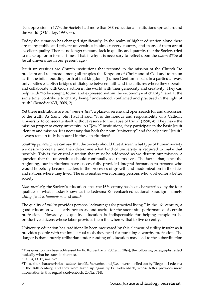its suppression in 1773, the Society had more than 800 educational institutions spread around the world (O'Malley, 1995, 33).

Today the situation has changed significantly. In the realm of higher education alone there are many public and private universities in almost every country, and many of them are of excellent quality. There is no longer the same lack in quality and quantity that the Society tried to make up for in former times. That is why it is necessary to reflect upon the *raison d'être* of Jesuit universities in our present age.<sup>6</sup>

Jesuit universities are Church institutions that respond to the mission of the Church "to proclaim and to spread among all peoples the Kingdom of Christ and of God and to be, on earth, the initial budding forth of that kingdom" (Lumen Gentium, no. 5). In a particular way, universities establish bridges of dialogue between faith and the cultures where they operate, and collaborate with God's action in the world with their generosity and creativity. They can help truth "to be sought, found and expressed within the «economy» of charity", and at the same time, contribute to charity being "understood, confirmed and practised in the light of truth" (Benedict XVI, 2009, 2).

Yet these institutions are, as "*universities"*, a place of serene and open search for and discussion of the truth. As Saint John Paul II said, "it is the honour and responsibility of a Catholic University to consecrate itself without reserve to the cause of truth" (1990, 4). They have the mission proper to every university. As "*Jesuit*" institutions, they participate in the basic Jesuit identity and mission. It is necessary that both the noun "university" and the adjective "Jesuit" always remain fully honoured in these institutions7.

*Speaking generally*, we can say that the Society should first discern what type of human society we desire to create, and then determine what kind of university is required to make that possible. This is the crucial question that must be addressed as we discern our mission, a question that the universities should continually ask themselves. The fact is that, since the beginning, our institutions have successfully provided integral formation to persons who would hopefully become leaders in the processes of growth and modernization in the cities and nations where they lived. The universities were forming persons who worked for a better society.

*More precisely,* the Society's education since the 16<sup>th</sup> century has been characterized by the four qualities of what is today known as the Ledesma-Kolvenbach educational paradigm, namely *utility, justice, humanism,* and *faith.*<sup>8</sup>

The quality of *utility* provides persons "advantages for practical living." In the 16<sup>th</sup> century, a good education was clearly necessary and useful for the successful performance of certain professions. Nowadays a quality education is indispensable for helping people to be productive citizens whose labor provides them the wherewithal to live decently.

University education has traditionally been motivated by this element of utility insofar as it provides people with the intellectual tools they need for pursuing a worthy profession. The danger is that a purely utilitarian understanding of education may lead to the subordination

 $\ddot{\phantom{a}}$ 

<sup>6</sup> This question has been addressed by Fr. Kolvenbach (2001a, n. 10ss); the following paragraphs reflect basically what he states in that text.

<sup>7</sup> GC 34, D. 17, nos. 5-7.

<sup>8</sup> These four characteristics *utilitas*, *iustitia*, *humanitas* and *fides* were spelled out by Diego de Ledesma in the 16th century, and they were taken up again by Fr. Kolvenbach, whose letter provides more information in this regard (Kolvenbach, 2001a, 314).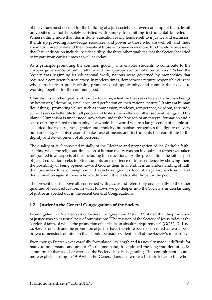of the values most needed for the building of a just society—or even contempt of them. Jesuit universities cannot be solely satisfied with simply transmitting instrumental knowledge. When nothing more than this is done, education easily lends itself to injustice and exclusion. It ends up providing knowledge, resources, and power to those who are well off, and these are in turn hired to defend the interests of those who have even more. It is therefore necessary that Jesuit education include, besides utility, the three other qualities that the Society has tried to impart from earlier times as well as today.

As a principle promoting the common good, *justice* enables students to contribute to the "proper governance of public affairs and the appropriate formulation of laws." When the Society was beginning its educational work, nations were governed by monarchies that required a competent bureaucracy. In modern times, democracies require responsible citizens who participate in public affairs, promote equal opportunity, and commit themselves to working together for the common good.

*Humanism* is another quality of Jesuit education, a feature that seeks to elevate human beings by bestowing "decorum, excellence, and perfection on their rational nature." It aims at human flourishing -promoting values such as compassion, modesty, temperance, wisdom, fortitude, etc.-, it seeks a better life for all people and fosters the welfare of other sentient beings and the planet. Humanism is understood nowadays under the horizon of an integral formation and a sense of being related to humanity as a whole. In a world where a large section of people are excluded due to caste, race, gender and ethnicity, humanism recognizes the dignity of every human being. For this reason it makes use of means and instruments that contribute to the dignity and development of all persons.

The quality of *faith* consisted initially of the "defense and propagation of the Catholic faith" at a time when the religious dimension of human reality was not in doubt but rather was taken for granted in all aspects of life, including the educational. At the present time the faith aspect of Jesuit education seeks to offer students an experience of transcendence by showing them the possibility of being opened toward God as their final end. It is an understanding of faith that promotes love of neighbor and rejects religion as tool of negation, exclusion, and discrimination against those who are different. It will also offer hope for the poor.

The present text is, above all, concerned with *justice* and refers only occasionally to the other qualities of Jesuit education. In what follows we go deeper into the Society's understanding of justice as spelled out in the recent General Congregations.

#### <span id="page-8-0"></span>**1.2 Justice in the General Congregations of the Society**

Promulgated in 1975, Decree 4 of General Congregation 32 (GC 32) stated that the promotion of justice was an essential part of our mission: "The mission of the Society of Jesus today is the service of faith, of which the promotion of justice is an absolute requirement" (GC 32, D. 4, no. 2). Service of faith and the promotion of justice have therefore been consecrated as two aspects or two dimensions of mission that should be made evident in all of the Society's ministries.

Even though Decree 4 was carefully formulated, its length and its novelty made it difficult for many to understand and accept. On the one hand, it continued the long tradition of social commitment that has characterized the Society since its beginning. This commitment became more explicit starting in 1949 when Fr. General Janssens wrote a historic letter to the whole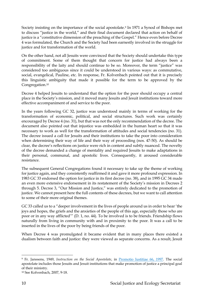Society insisting on the importance of the social apostolate.<sup>9</sup> In 1971 a Synod of Bishops met to discuss "justice in the world," and their final document declared that action on behalf of justice is a "constitutive dimension of the preaching of the Gospel." Hence even before Decree 4 was formulated, the Church and the Society had been earnestly involved in the struggle for justice and for transformation of the world.

On the other hand, not all Jesuits were convinced that the Society should undertake this type of commitment. Some of them thought that concern for justice had always been a responsibility of the laity and should continue to be so. Moreover, the term "justice" was considered too ambiguous since it could be understood in various ways: as commutative, social, evangelical, Pauline, etc. In response, Fr. Kolvenbach pointed out that it is precisely this linguistic ambiguity that made it possible for the term to be approved by the Congregation.<sup>10</sup>

Decree 4 helped Jesuits to understand that the option for the poor should occupy a central place in the Society's mission, and it moved many Jesuits and Jesuit institutions toward more effective accompaniment of and service to the poor.

In the years following GC 32, justice was understood mainly in terms of working for the transformation of economic, political, and social structures. Such work was certainly encouraged by Decree 4 (no. 31), but that was not the only recommendation of the decree. The document also pointed out that injustice was embedded in the human heart so that it was necessary to work as well for the transformation of attitudes and social tendencies (no. 31). The decree issued a call for Jesuits and their institutions to take the poor into consideration when determining their way of life and their way of proceeding (nos. 47-50). As should be clear, the decree's reflections on justice were rich in content and subtly nuanced. The novelty of the decree demanded a change of mentality and required Jesuits to make adaptations in their personal, communal, and apostolic lives. Consequently, it aroused considerable resistance.

The subsequent General Congregations found it necessary to take up the theme of working for justice again, and they consistently reaffirmed it and gave it more profound expression. In 1983 GC 33 endorsed the option for justice in its first decree (no. 38), and in 1995 GC 34 made an even more extensive endorsement in its restatement of the Society's mission in Decrees 2 through 5. Decree 3, "Our Mission and Justice," was entirely dedicated to the promotion of justice. We cannot present here the full contents of these decrees, but we want to call attention to some of their more original themes.

GC 33 called us to a "deeper involvement in the lives of people around us in order to hear 'the joys and hopes, the griefs and the anxieties of the people of this age, especially those who are poor or in any way afflicted'" (D. 1, no. 44). To be involved is to be friends. Friendship flows naturally from living in community with and in proximity to the poor. It was a call to be inserted in the lives of the poor by being friends of the poor.

When Decree 4 was promulgated it became evident that in many places there existed a dualism between faith and justice: they were viewed as separate concerns. As a result, Jesuit

<sup>9</sup> Fr. Janssens, 1949, *Instruction on the Social Apostolate*, in [Promotio Iustitiae 66, 1997.](http://www.sjweb.info/sjs/PJ/index_work.cfm?PubTextId=3984) The social apostolate includes those Jesuits and Jesuit institutions that make promotion of justice a principal goal of their ministry.

<sup>10</sup> See Kolvenbach, 2007, 9-18.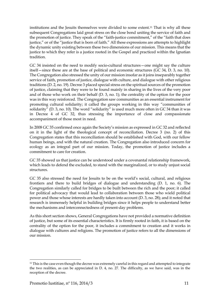institutions and the Jesuits themselves were divided to some extent.<sup>11</sup> That is why all these subsequent Congregations laid great stress on the close bond uniting the service of faith and the promotion of justice. They speak of the "faith-justice commitment," of the "faith that does justice," or of the "justice that is born of faith." All these expressions are attempts to highlight the dynamic unity existing between these two dimensions of our mission. This means that the justice to which they refer is a justice rooted in the Gospel and practiced within the Ignatian tradition.

GC 34 insisted on the need to modify socio-cultural structures—one might say the culture itself—since these are at the base of political and economic structures (GC 34, D. 3, no. 10). The Congregation also stressed the unity of our mission insofar as it joins inseparably together service of faith, promotion of justice, dialogue with culture, and dialogue with other religious traditions (D. 2, no. 19). Decree 3 placed special stress on the spiritual sources of the promotion of justice, claiming that they were to be found mainly in sharing in the lives of the very poor and of those who work on their behalf (D. 3, no. 1); the centrality of the option for the poor was in this way reinforced. The Congregation saw communities as an essential instrument for promoting cultural solidarity; it called the groups working in this way "communities of solidarity" (D. 3, no. 10). The word "solidarity" is used much more often in GC 34 than it was in Decree 4 of GC 32, thus stressing the importance of close and compassionate accompaniment of those most in need.

In 2008 GC 35 confirmed once again the Society's mission as expressed in GC 32 and reflected on it in the light of the theological concept of reconciliation. Decree 3 (no. 2) of this Congregation states that this reconciliation should be established with God, with our fellow human beings, and with the natural creation. The Congregation also introduced concern for ecology as an integral part of our mission. Today, the promotion of justice includes a commitment to care for creation.

GC 35 showed us that justice can be understood under a covenantal relationship framework, which leads to defend the excluded, to stand with the marginalized, or to study unjust social structures.

GC 35 also stressed the need for Jesuits to be on the world's social, cultural, and religious frontiers and there to build bridges of dialogue and understanding (D. 1, no. 6). The Congregation similarly called for bridges to be built between the rich and the poor; it called for political advocacy that would lead to collaboration between those who wield political power and those whose interests are hardly taken into account (D. 3, no. 28); and it noted that research is immensely helpful in building bridges since it helps people to understand better the mechanisms and interconnectedness of present-day problems.

As this short section shows, General Congregations have not provided a normative definition of justice, but some of its essential characteristics. It is firmly rooted in faith, it is based on the centrality of the option for the poor, it includes a commitment to creation and it works in dialogue with cultures and religions. The promotion of justice refers to all the dimensions of our mission.

 $\overline{\phantom{a}}$ 

<sup>&</sup>lt;sup>11</sup> This is the case even though the decree was extremely careful in this regard and attempted to integrate the two realities, as can be appreciated in D. 4, no. 27. The difficulty, as we have said, was in the reception of the decree.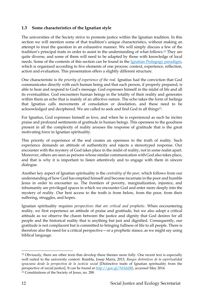#### <span id="page-11-0"></span>**1.3 Some characteristics of the Ignatian style**

The universities of the Society strive to promote justice within the Ignatian tradition. In this section we will mention some of that tradition's unique characteristics, without making an attempt to treat the question in an exhaustive manner. We will simply discuss a few of the tradition's principal traits in order to assist in the understanding of what follows.<sup>12</sup> They are quite diverse, and some of them will need to be adapted by those with knowledge of local needs. Some of the contents of this section can be found in the [Ignatian Pedagogy paradigm,](http://www.sjweb.info/documents/education/pedagogy_en.pdf) which is organized according to five elements of one process: context, experience, reflection, action and evaluation. This presentation offers a slightly different structure.

One characteristic is *the priority of experience of the real.* Ignatius had the conviction that God communicates directly with each human being and that each person, if properly prepared, is able to hear and respond to God's message. God expresses himself in the midst of life and all its eventualities. God encounters human beings in the totality of their reality and generates within them an echo that is mainly of an affective nature. The echo takes the form of feelings that Ignatius calls movements of consolation or desolation, and these need to be acknowledged and deciphered. We are called to seek and find God in all things13.

For Ignatius, God expresses himself as love, and when he is experienced as such he incites praise and profound sentiments of gratitude in human beings. This openness to the goodness present in all the complexity of reality arouses the response of gratitude that is the great motivating force in Ignatian spirituality.

This priority of experience of the real creates an openness to the truth of reality. Such experience demands an attitude of authenticity and rejects a stereotyped response. Our encounter with the mystery of God takes place in the midst of reality, not in some realm apart. Moreover, others are seen as persons whose similar communication with God also takes place, and that is why it is important to listen attentively and to engage with them in sincere dialogue.

Another key aspect of Ignatian spirituality is the *centrality of the poor,* which follows from our understanding of how God has emptied himself and become incarnate in the poor and humble Jesus in order to encounter us. The frontiers of poverty, marginalization, injustice, and inhumanity are privileged spaces in which we encounter God and enter more deeply into the mystery of reality. Our best access to the truth is from below, from the poor, from their suffering, struggles, and hopes.

Ignatian spirituality requires *perspectives that are critical and prophetic.* When encountering reality, we first experience an attitude of praise and gratitude, but we also adopt a critical attitude as we observe the chasm between the justice and dignity that God desires for all people and the historical reality that is anything but just and dignified. Consequently, our gratitude is not complacent but is committed to bringing fullness of life to all people. There is therefore also the need for a critical perspective—or a prophetic stance, as we might say using biblical language.

 $\overline{a}$ <sup>12</sup> Obviously, there are other texts that develop these themes more fully. One recent text is especially well suited to the university context: Rambla, Josep María, 2013, *Rasgos distintivos de la espiritualidad ignaciana desde la perspectiva de la justicia social* [Distinctive traits of Ignatian spirituality from the perspective of social justice]. It can be found at [http://goo.gl/NHddRf,](http://goo.gl/NHddRf) accessed May 2014. <sup>13</sup> Constitutions of the Society of Jesus, no. 288.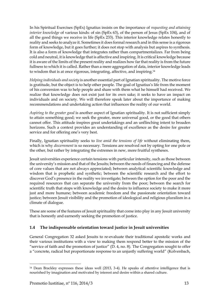In his Spiritual Exercises (SpEx) Ignatius insists on the importance of *requesting and attaining interior knowledge* of various kinds: of sin (SpEx 63), of the person of Jesus (SpEx 104), and of all the good things we receive in life (SpEx 233). This interior knowledge relates honestly to reality and seeks to analyze it. Sometimes it does formal research and in this sense is a rigorous form of knowledge, but it goes further; it does not stop with analysis but aspires to synthesis. It is also a form of knowledge that integrates rather than compartmentalizes. Far from being cold and neutral, it is knowledge that is affective and inspiring. It is critical knowledge because it is aware of the limits of the present reality and realizes how far that reality is from the future fullness to which it is called. Rather than a mere aggregation of data, interior knowledge leads to wisdom that is at once rigorous, integrating, affective, and inspiring.<sup>14</sup>

*Helping individuals and society* is another essential part of Ignatian spirituality. The motive force is gratitude, but the object is to help other people. The goal of Ignatius's life from the moment of his conversion was to help people and share with them what he himself had received. We realize that knowledge does not exist just for its own sake; it seeks to have an impact on individuals and on society. We will therefore speak later about the importance of making recommendations and undertaking action that influences the reality of our world.

*Aspiring to the greater good* is another aspect of Ignatian spirituality. It is not sufficient simply to attain something good; we seek the greater, more universal good, or the good that others cannot offer. This attitude inspires great undertakings and an unflinching intent to broaden horizons. Such a context provides an understanding of excellence as the desire for greater service and for offering one's very best.

Finally, Ignatian spirituality seeks to *live amid the tensions of life* without eliminating them, which is why *discernment* is so necessary. Tensions are resolved not by opting for one pole or the other, but rather by integrating the extremes in new, more fruitful syntheses.

Jesuit universities experience certain tensions with particular intensity, such as those between the university's mission and that of the Jesuits; between the needs of financing and the defense of core values that are not always appreciated; between analytical scientific knowledge and wisdom that is prophetic and synthetic; between the scientific research and the effort to discover God's presence in the reality we investigate; between the option for the poor and the required resources that can separate the university from the poor; between the search for scientific truth that stops with knowledge and the desire to influence society to make it more just and more humane; between academic freedom and the passionate orientation toward justice; between Jesuit visibility and the promotion of ideological and religious pluralism in a climate of dialogue.

These are some of the features of Jesuit spirituality that come into play in any Jesuit university that is honestly and earnestly seeking the promotion of justice.

#### <span id="page-12-0"></span>**1.4 The indispensable orientation toward justice in Jesuit universities**

General Congregation 32 asked Jesuits to re-evaluate their traditional apostolic works and their various institutions with a view to making them respond better to the mission of the "service of faith and the promotion of justice" (D. 4, no. 8). The Congregation sought to offer a "concrete, radical but proportionate response to an unjustly suffering world" (Kolvenbach,

 $\overline{\phantom{a}}$ 

<sup>14</sup> Dean Brackley expresses these ideas well (2013, 3-4). He speaks of attentive intelligence that is nourished by imagination and motivated by interest and desire within a shared culture.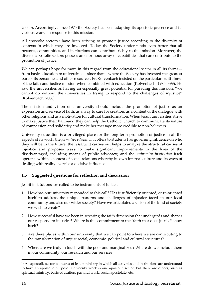2000b). Accordingly, since 1975 the Society has been adapting its apostolic presence and its various works in response to this mission.

All apostolic sectors<sup>15</sup> have been striving to promote justice according to the diversity of contexts in which they are involved. Today the Society understands even better that all persons, communities, and institutions can contribute richly to this mission. Moreover, the diverse apostolic sectors possess an enormous array of capabilities that can contribute to the promotion of justice.

We can perhaps hope for more in this regard from the educational sector in all its forms from basic education to universities—since that is where the Society has invested the greatest part of its personnel and other resources. Fr. Kolvenbach insisted on the particular fruitfulness of the faith and justice mission when combined with education (Kolvenbach, 1985, 399). He saw the universities as having an especially great potential for pursuing this mission: "we cannot do without the universities in trying to respond to the challenges of injustice" (Kolvenbach, 2006).

The mission and vision of a university should include the promotion of justice as an expression and service of faith, as a way to care for creation, as a content of the dialogue with other religions and as a motivation for cultural transformation. When Jesuit universities strive to make justice their hallmark, they can help the Catholic Church to communicate its nature of compassion and solidarity and make her message more credible to non-believers.

University education is a privileged place for the long-term promotion of justice in all the aspects of its work: the *formative education* it offers to students has governing influence on who they will be in the future; the *research* it carries out helps to analyze the structural causes of injustice and proposes ways to make significant improvements in the lives of the disadvantaged, including means of public advocacy; and the *university institution* itself operates within a context of social relations whereby its own internal culture and its ways of dealing with reality exercise a decisive influence.

#### <span id="page-13-0"></span>**1.5 Suggested questions for reflection and discussion**

Jesuit institutions are called to be instruments of Justice:

- 1. How has our university responded to this call? Has it sufficiently oriented, or re-oriented itself to address the unique patterns and challenges of injustice faced in our local community and also our wider society? Have we articulated a vision of the kind of society we wish to create?
- 2. How successful have we been in stressing the faith dimension that undergirds and shapes our response to injustice? Where is this commitment to the "faith that does justice" show itself?
- 3. Are there places within our university that we can point to where we are contributing to the transformation of unjust social, economic, political and cultural structures?
- 4. Where are we truly in touch with the poor and marginalized? Where do we include them in our community, our research and our service?

<sup>15</sup> An apostolic sector is an area of Jesuit ministry in which all activities and institutions are understood to have an apostolic purpose. University work is one apostolic sector, but there are others, such as spiritual ministry, basic education, pastoral work, social apostolate, etc.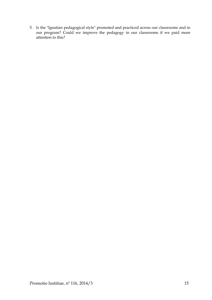5. Is the "Ignatian pedagogical style" promoted and practiced across our classrooms and in our program? Could we improve the pedagogy in our classrooms if we paid more attention to this?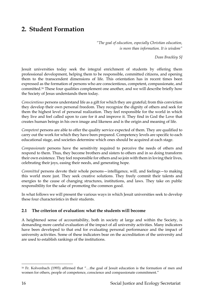## <span id="page-15-0"></span>**2. Student Formation**

*"The goal of education, especially Christian education, is more than information. It is wisdom"*

*Dean Brackley SJ*

Jesuit universities today seek the integral enrichment of students by offering them professional development, helping them to be responsible, committed citizens, and opening them to the transcendent dimensions of life. This orientation has in recent times been expressed as the formation of persons who are conscientious, competent, compassionate, and committed. <sup>16</sup> These four qualities complement one another, and we will describe briefly how the Society of Jesus understands them today.

*Conscientious* persons understand life as a gift for which they are grateful; from this conviction they develop their own personal freedom. They recognize the dignity of others and seek for them the highest level of personal realization. They feel responsible for the world in which they live and feel called upon to care for it and improve it. They find in God the Love that creates human beings in his own image and likeness and is the origin and meaning of life.

*Competent* persons are able to offer the quality service expected of them. They are qualified to carry out the work for which they have been prepared. Competency levels are specific to each educational stage, and societies determine which ones should be acquired at each stage.

*Compassionate* persons have the sensitivity required to perceive the needs of others and respond to them. Thus, they become brothers and sisters to others and in so doing transform their own existence. They feel responsible for others and so join with them in loving their lives, celebrating their joys, easing their needs, and generating hope.

*Committed* persons devote their whole persons—intelligence, will, and feelings—to making this world more just. They seek creative solutions. They freely commit their talents and energies to the cause of changing structures, institutions, and laws. They take on public responsibility for the sake of promoting the common good.

In what follows we will present the various ways in which Jesuit universities seek to develop these four characteristics in their students.

#### <span id="page-15-1"></span>**2.1 The criterion of evaluation: what the students will become**

A heightened sense of accountability, both in society at large and within the Society, is demanding more careful evaluation of the impact of all university activities. Many indicators have been developed to that end for evaluating personal performance and the impact of university activities. Some of these indicators bear on the accreditation of the university and are used to establish rankings of the institutions.

 $\overline{a}$ <sup>16</sup> Fr. Kolvenbach (1993) affirmed that "…the goal of Jesuit education is the formation of men and women for others, people of competence, conscience and compassionate commitment."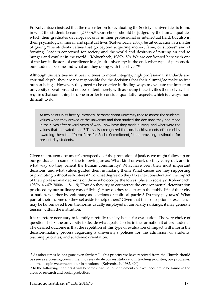Fr. Kolvenbach insisted that the real criterion for evaluating the Society's universities is found in what the students become (2000b). <sup>17</sup> Our schools should be judged by the human qualities which their graduates develop, not only in their professional or intellectual field, but also in their psychological, moral, and spiritual lives (Kolvenbach, 2006). Jesuit education is a matter of giving "the students values that go beyond acquiring money, fame, or success" and of forming "leaders concerned for society and the world and desirous of putting an end to hunger and conflict in the world" (Kolvenbach, 1989b, 59). We are confronted here with one of the key indicators of excellence in a Jesuit university: in the end, what type of persons do our students become and what are they doing with their lives?<sup>18</sup>

Although universities must bear witness to moral integrity, high professional standards and spiritual depth, they are not responsible for the decisions that their alumni/ae make as free human beings. However, they need to be creative in finding ways to evaluate the impact of university operations and not be content merely with assessing the activities themselves. This requires that something be done in order to consider qualitative aspects, which is always more difficult to do.

At two points in its history, Mexico's Iberoamericana University tried to assess the students' values when they arrived at the university and then studied the decisions they had made in their lives after several years of work: how have they made a living, and what were the values that motivated them? They also recognized the social achievements of alumni by awarding them the "Ibero Prize for Social Commitment," thus providing a stimulus for present-day students.

Given the present document's perspective of the promotion of justice, we might follow up on our graduates in some of the following areas: What kind of work do they carry out, and in what way do they benefit the human community? What have been their most important decisions, and what values guided them in making them? What causes are they supporting or promoting without self-interest? To what degree do they take into consideration the impact of their professional decisions on those who occupy the lowest place in society? (Kolvenbach, 1989b, 46-47; 2000a, 118-119) How do they try to counteract the environmental deterioration produced by our ordinary way of living? How do they take part in the public life of their city or nation, whether by voluntary associations or political parties? Do they pay taxes? What part of their income do they set aside to help others? Given that this conception of excellence may be far removed from the norms usually employed in university rankings, it may generate tension within the institution.

It is therefore necessary to identify carefully the key issues for evaluation. The very choice of questions helps the university to decide what goals it seeks in the formation it offers students. The desired outcome is that the repetition of this type of evaluation of impact will inform the decision-making process regarding a university's policies for the admission of students, teaching priorities, and academic orientation.

l <sup>17</sup> At other times he has gone even farther: "...this priority we have received from the Church should be seen as a pressing commitment to re-evaluate our institutions, our teaching priorities, our programs, and the people we attract to our institutions" (Kolvenbach, 1985, 400).

<sup>&</sup>lt;sup>18</sup> In the following chapters it will become clear that other elements of excellence are to be found in the areas of research and social projection.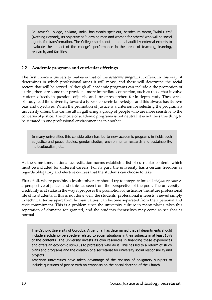St. Xavier's College, Kolkata, India, has clearly spelt out, besides its motto, "Nihil Ultra" (Nothing Beyond), its objective as "Forming men and women for others" who will be social agents for transformation. The College carries out an annual audit by external experts to evaluate the impact of the college's performance in the areas of teaching, learning, research, and facilities

#### <span id="page-17-0"></span>**2.2 Academic programs and curricular offerings**

The first choice a university makes is that of the *academic programs* it offers. In this way, it determines in which professional areas it will move, and these will determine the social sectors that will be served. Although all academic programs can include a the promotion of justice, there are some that provide a more immediate connection, such as those that involve students directly in questions of justice and attract researchers for in-depth study. These areas of study lead the university toward a type of concrete knowledge, and this always has its own bias and objectives. When the promotion of justice is a criterion for selecting the programs a university offers, this can result in gathering a group of people who are more sensitive to the concerns of justice. The choice of academic programs is not neutral; it is not the same thing to be situated in one professional environment as in another.

In many universities this consideration has led to new academic programs in fields such as justice and peace studies, gender studies, environmental research and sustainability, multiculturalism, etc.

At the same time, national accreditation norms establish a list of curricular contents which must be included for different careers. For its part, the university has a certain freedom as regards obligatory and elective courses that the students can choose to take.

First of all, where possible, a Jesuit university should try to integrate into all *obligatory courses* a perspective of justice and ethics as seen from the perspective of the poor. The university's credibility is at stake in the way it proposes the promotion of justice for the future professional life of its students. If this is not done well, the students' professional interests, viewed simply in technical terms apart from human values, can become separated from their personal and civic commitment. This is a problem since the university culture in many places takes this separation of domains for granted, and the students themselves may come to see that as normal.

The Catholic University of Cordoba, Argentina, has determined that all departments should include a solidarity perspective related to social situations in their subjects in at least 10% of the contents. The university invests its own resources in financing these experiences and offers an economic stimulus to professors who do it. This has led to a reform of study plans and programs and the creation of a secretariat for university social responsibility and projects.

American universities have taken advantage of the revision of obligatory subjects to include questions of justice with an emphasis on the social doctrine of the Church.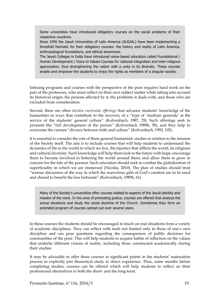Some universities have introduced obligatory courses on the social problems of their respective countries.

Since 1995 the Jesuit Universities of Latin America (AUSJAL) have been implementing a threefold thematic for their obligatory courses: the history and reality of Latin America, anthropological foundations, and ethical awareness.

The Jesuit Colleges in India have introduced value-based education called Foundational / Human Development / Voice to Values Courses for national integration and inter-religious appreciation, thus strengthening the nation with a unity in its diversity. These courses enable and empower the students to enjoy the rights as members of a singular society.

Imbuing programs and courses with the perspective of the poor requires hard work on the part of the professors, who must reflect on their own subject matter while taking into account its historical origin, the persons affected by it, the problems it deals with, and those who are excluded from consideration.

Second, there are often *elective curricular offerings* that advance students' knowledge of the humanities in ways that contribute to the recovery of a "type of 'studium generale' at the service of the students' general culture" (Kolvenbach, 1987, 29). Such offerings seek to promote the "full development of the person" (Kolvenbach 1989b, 58), and they help to overcome the current "divorce between faith and culture" (Kolvenbach, 1992, 105).

It is essential to consider the role of these general humanistic studies in relation to the mission of the Society itself. The aim is to include courses that will help students to understand the dynamics of life in the world in which we live, the injustice that afflicts the world, its religious and cultural diversity. Such knowledge will help them look to the future with hope, encourage them to become involved in bettering the world around them, and allow them to grow in concern for the fate of the poorest. Such education should seek to combat the globalization of superficiality in which we are immersed (Nicolás, 2010). The plan of studies should treat "serious discussion of the way in which the marvelous gifts of God's creation are to be used and shared to benefit the less fortunate" (Kolvenbach, 1989b, 61).

Many of the Society's universities offer courses related to aspects of the Jesuit identity and mission of the work. In the area of promoting justice, courses are offered that analyze the actual situations and study the social doctrine of the Church. Sometimes they form an extended program of courses spread out over several years.

In these courses the students should be encouraged to touch on real situations from a variety of academic disciplines. They can reflect with tools not limited only to those of one's own discipline and can pose questions regarding the consequences of public decisions for communities of the poor. This will help students to acquire habits of reflection on the values that underlie different visions of reality, including those constructed academically during their studies.

It may be advisable to offer these courses at significant points in the students' maturation process to explicitly join theoretical study to direct experience. Thus, some months before completing studies, courses can be offered which will help students to reflect on their professional alternatives in both the short- and the long-term.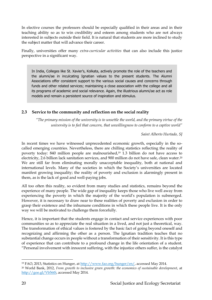In elective courses the professors should be especially qualified in their areas and in their teaching ability so as to win credibility and esteem among students who are not always interested in subjects outside their field. It is natural that students are more inclined to study the subject matter that will advance their career.

Finally, universities offer many *extra-curricular activities* that can also include this justice perspective in a significant way.

In India, Colleges like St. Xavier's, Kolkata, actively promote the role of the teachers and the alumni/ae in inculcating Ignatian values to the present students. The Alumni Associations offer consistent support to the various social causes and concerns through funds and other related services; maintaining a close association with the college and all its programs of academic and social relevance. Again, the illustrious alumni/ae act as role models and remain a persistent source of inspiration and stimulus.

#### <span id="page-19-0"></span>**2.3 Service to the community and reflection on the social reality**

*"The primary mission of the university is to unsettle the world, and the primary virtue of the university is to feel that concern, that unwillingness to conform to a captive world"*

*Saint Alberto Hurtado, SJ*

In recent times we have witnessed unprecedented economic growth, especially in the socalled emerging countries. Nevertheless, there are chilling statistics reflecting the reality of poverty today: 840 million people are malnourished, <sup>19</sup> 1.3 billion do not have access to electricity, 2.6 billion lack sanitation services, and 900 million do not have safe, clean water. 20 We are still far from eliminating morally unacceptable inequality, both at national and international levels. Many of the societies in which the Society's universities are located manifest growing inequality; the reality of poverty and exclusion is alarmingly present in them, as is the lack of good and well-paying jobs.

All too often this reality, so evident from many studies and statistics, remains beyond the experience of many people. The wide gap of inequality keeps those who live well away from experiencing the poverty in which the majority of the world's population is submerged. However, it is necessary to draw near to these realities of poverty and exclusion in order to grasp their existence and the inhumane conditions in which these people live. It is the only way we will be motivated to challenge them forcefully.

Hence, it is important that the students engage in contact and service experiences with poor communities so as to appreciate the real situation in a lived, and not just a theoretical, way. The transformation of ethical values is fostered by the basic fact of going beyond oneself and recognizing and affirming the other as a person. The Ignatian tradition teaches that no substantial change occurs in people without a transformation of their sensitivity. It is this type of experience that can contribute to a profound change in the life orientation of a student. "Personal involvement with innocent suffering, with the injustice others suffer, is the catalyst

<sup>19</sup> FAO, 2013, Statistics on Hunger, at [http://www.fao.org/hunger/en/,](http://www.fao.org/hunger/en/) accessed May 2014.

<sup>20</sup> World Bank, 2012, *From growth to inclusive green growth: the economics of sustainable development*, at [http://goo.gl/Vb56tS,](http://goo.gl/Vb56tS) accessed May 2014.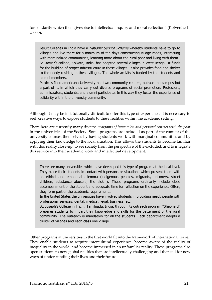for solidarity which then gives rise to intellectual inquiry and moral reflection" (Kolvenbach, 2000b).

Jesuit Colleges in India have a *National Service Scheme* whereby students have to go to villages and live there for a minimum of ten days constructing village roads, interacting with marginalized communities, learning more about the rural poor and living with them. St. Xavier's college, Kolkata, India, has adopted several villages in West Bengal. It funds for the building of proper infrastructure in these villages. It also provides food and shelter to the needy residing in these villages. The whole activity is funded by the students and alumni members.

Mexico's Iberoamericana University has two community centers, outside the campus but a part of it, in which they carry out diverse programs of social promotion. Professors, administrators, students, and alumni participate. In this way they foster the experience of solidarity within the university community.

Although it may be institutionally difficult to offer this type of experience, it is necessary to seek creative ways to expose students to these realities within the academic setting.

There here are currently many diverse *programs of immersion and personal contact with the poor* in the universities of the Society. Some programs are included as part of the content of the university courses themselves by having students work with marginal communities and by applying their knowledge to the local situation. This allows the students to become familiar with this reality close-up, to see society from the perspective of the excluded, and to integrate this service into their academic work and intellectual development.

There are many universities which have developed this type of program at the local level. They place their students in contact with persons or situations which present them with an ethical and emotional dilemma (indigenous peoples, migrants, prisoners, street children, substance abusers, the sick…). These programs ordinarily include close accompaniment of the student and adequate time for reflection on the experience. Often, they form part of the academic requirements.

In the United States the universities have involved students in providing needy people with professional services: dental, medical, legal, business, etc.

St. Joseph's College in Trichi, Tamilnadu, India, through its outreach program "Shepherd" prepares students to impart their knowledge and skills for the betterment of the rural community. The outreach is mandatory for all the students. Each department adopts a cluster of villages and each class one village.

Other programs at universities in the first world fit into the framework of international travel. They enable students to acquire intercultural experience, become aware of the reality of inequality in the world, and become immersed in an unfamiliar reality. These programs also open students to new global realities that are intellectually challenging and that call for new ways of understanding their lives and their future.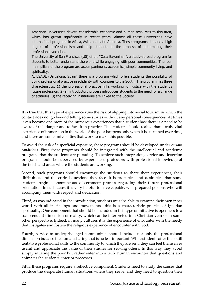American universities devote considerable economic and human resources to this area, which has grown significantly in recent years. Almost all these universities have international programs in Africa, Asia, and Latin America. These programs demand a high degree of professionalism and help students in the process of determining their professional vocation.

The University of San Francisco (US) offers "Casa Bayanihan", a study-abroad program for students to better understand the world while engaging with poor communities. The four main pillars of the program are accompaniment, academics, simple community living, and spirituality.

At ESADE (Barcelona, Spain) there is a program which offers students the possibility of doing professional practice in solidarity with countries to the South. The program has three characteristics: 1) the professional practice links working for justice with the student's future profession; 2) an introductory process introduces students to the need for a change of attitudes; 3) the receiving institutions are linked to the Society.

It is true that this type of experience runs the risk of slipping into social tourism in which the contact does not go beyond telling some stories without any personal consequences. At times it can become one more of the numerous experiences that a student has; there is a need to be aware of this danger and to face it in practice. The students should realize that a truly vital experience of immersion in the world of the poor happens only when it is sustained over time, and there are some universities that work to make this possible.

To avoid the risk of superficial exposure, these programs should be developed under *certain conditions*. First, these programs should be integrated with the intellectual and academic programs that the students are pursuing. To achieve such integration, service and insertion programs should be supervised by experienced professors with professional knowledge of the fields and areas where the students are working.

Second, such programs should encourage the students to share their experiences, their difficulties, and the critical questions they face. It is probable—and desirable—that some students begin a spontaneous discernment process regarding their future professional orientation. In such cases it is very helpful to have capable, well-prepared persons who will accompany them with respect and dedication.

Third, as was indicated in the introduction, students must be able to examine their own inner world with all its feelings and movements—this is a characteristic practice of Ignatian spirituality. One component that should be included in this type of initiative is openness to a transcendent dimension of reality, which can be interpreted in a Christian vein or in some other perspective. Indeed, in many cultures it is the experience of encounter with the needy that instigates and fosters the religious experience of encounter with God.

Fourth, service to underprivileged communities should include not only the professional dimension but also the human sharing that is no less important. While students offer their still tentative professional skills to the community to which they are sent, they can feel themselves useful and appreciate the value of their studies for serving others. In this way they avoid simply utilizing the poor but rather enter into a truly human encounter that questions and animates the students' interior processes.

Fifth, these programs require a reflective component. Students need to study the causes that produce the desperate human situations where they serve, and they need to question their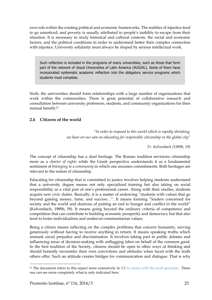own role within the existing political and economic frameworks. The realities of injustice tend to go unnoticed, and poverty is usually attributed to people's inability to escape from their situation. It is necessary to study historical and cultural contexts, the social and economic factors, and the political conditions in order to understand better their complex connection with injustice. University solidarity must always be shaped by serious intellectual work.

Such reflection is included in the programs of many universities, such as those that form part of the network of Jesuit Universities of Latin America (AUSJAL). Some of them have incorporated systematic academic reflection into the obligatory service programs which students must complete.

Sixth, the universities should form relationships with a large number of organizations that work within the communities. There is great potential of collaborative research and consultation between university professors, students, and community organizations for their mutual benefit. 21

#### <span id="page-22-0"></span>**2.4 Citizens of the world**

*"In order to respond to this world which is rapidly shrinking, we have set our aim on educating for responsible citizenship in the global city"*

*Fr. Kolvenbach (1989b, 59)*

The concept of citizenship has a dual heritage. The Roman tradition envisions citizenship more as a *charter of rights* while the Greek perspective understands it as a fundamental sentiment of *belonging to a community* in which one assumes commitments. Both heritages are relevant to the notion of citizenship.

Educating for citizenship that is committed to justice involves helping students understand that a university degree means not only specialized training but also taking on social responsibility as a vital part of one's professional career. Along with their studies, students acquire new civic duties. Basically, it is a matter of endowing "students with values that go beyond gaining money, fame, and success…". It means forming "leaders concerned for society and the world and desirous of putting an end to hunger and conflict in the world" (Kolvenbach, 1989b, 59). It means going beyond the ordinary criteria of competence and competition that can contribute to building economic prosperity and democracy but that also tend to foster individualism and undercut communitarian values.

Being a citizen means reflecting on the complex problems that concern humanity, serving generously without having to receive anything in return. It means speaking truths which unmask social prejudice and discrimination. It involves taking part in public debates and influencing areas of decision-making with unflagging labor on behalf of the common good. In the best tradition of the Society, citizens should be open to other ways of thinking and should honestly reconsider their own convictions and attitudes when faced with the truth others offer. Such an attitude creates bridges for communication and dialogue. That is why

 $\overline{\phantom{a}}$ 

<sup>21</sup> The document refers to this aspect more extensively in *[3.3](#page-29-0) [In contact with the social apostolate](#page-29-0)* . There one can see more completely what is only indicated here.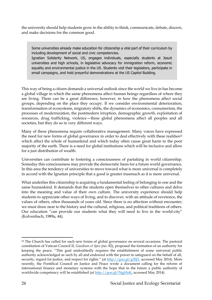the university should help students grow in the ability to think, communicate, debate, discern, and make decisions for the common good.

Some universities already make education for citizenship a vital part of their curriculum by including development of social and civic competencies.

Ignatian Solidarity Network, US, engages individuals, especially students at Jesuit universities and high schools, in legislative advocacy for immigration reform, economic equality and environmental justice in the US. Students visit their legislators, participate in email campaigns, and hold prayerful demonstrations at the US Capitol Building.

This way of being a citizen demands a universal outlook since the world we live in has become a global village in which the same phenomena affect human beings regardless of where they are living. There can be a great difference, however, in how the phenomena affect social groups, depending on the place they occupy. If we consider environmental deterioration, transformation of ecosystems, migratory shifts, the dynamics of economics, consumerism, the processes of modernization, the postmodern irruption, demographic growth, exploitation of resources, drug trafficking, violence—these global phenomena affect all peoples and all societies, but they do so in very different ways.

Many of these phenomena require collaborative management. Many voices have expressed the need for new forms of global governance in order to deal effectively with these realities<sup>22</sup> which affect the whole of humankind and which today often cause great harm to the poor majority of the earth. There is a need for global institutions which will be inclusive and allow for a just distribution of wealth.

Universities can contribute to fostering a consciousness of partaking in world citizenship. Someday this consciousness may provide the democratic basis for a future world governance. In this area the tendency of universities to move toward what is more universal is completely in accord with the Ignatian principle that a good is greater inasmuch as it is more universal.

What underlies this citizenship is acquiring a fundamental feeling of belonging to one and the same humankind. It demands that the students open themselves to other cultures and delve into the meaning and value of their own culture. The university experience should help students to appreciate other ways of living, and to discover, with an attitude of reverence, the values of others, often thousands of years old. Since there is no affection without encounter, we must draw near to the history and the cultural, religious, and political traditions of others. Our education "can provide our students what they will need to live in the world-city" (Kolvenbach, 1989a, 44).

 $\ddot{\phantom{a}}$ 

<sup>&</sup>lt;sup>22</sup> The Church has called for such new forms of global governance on several occasions. The pastoral constitution of Vatican Council II, *Gaudium et Spes* (no. 82), proposed the formation of an authority for keeping the peace. "This goal undoubtedly requires the establishment of some universal public authority acknowledged as such by all and endowed with the power to safeguard on the behalf of all, security, regard for justice, and respect for rights." (at [http://goo.gl/g3SjT,](http://goo.gl/g3SjT) accessed May 2014). More recently, the Pontifical Council on Justice and Peace wrote a document calling for the reform of international finance and monetary systems with the hope that in the future a public authority of worldwide competency will be established (at [http://goo.gl/NjgHoK,](http://goo.gl/NjgHoK) accessed May 2014).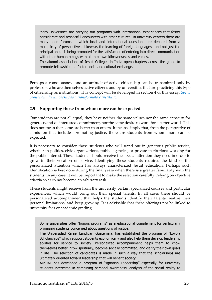Many universities are carrying out programs with international experiences that foster considerate and respectful encounters with other cultures. In university centers there are many open forums in which local and international questions are debated from a multiplicity of perspectives. Likewise, the learning of foreign languages -and not just the principal ones- is being promoted for the satisfaction of entering into direct communication with other human beings with all their own idiosyncrasies and values.

The alumni associations of Jesuit Colleges in India open chapters across the globe to promote fellowship and foster social and cultural exchange.

Perhaps a consciousness and an attitude of active citizenship can be transmitted only by professors who are themselves active citizens and by universities that are practicing this type of citizenship as institutions. This concept will be developed in section 4 of this essay, *[Social](#page-35-0)  [projection: the university as a transformative institution.](#page-35-0)*

#### <span id="page-24-0"></span>**2.5 Supporting those from whom more can be expected**

Our students are not all equal; they have neither the same values nor the same capacity for generous and disinterested commitment, nor the same desire to work for a better world. This does not mean that some are better than others. It means simply that, from the perspective of a mission that includes promoting justice, there are students from whom more can be expected.

It is necessary to consider those students who will stand out in generous public service, whether in politics, civic organizations, public agencies, or private institutions working for the public interest. These students should receive the special attention they need in order to grow in their vocation of service. Identifying these students requires the kind of the personalized attention which has always characterized Jesuit education. Perhaps such identification is best done during the final years when there is a greater familiarity with the students. In any case, it will be important to make the selection carefully, relying on objective criteria so as to not become an arbitrary task.

These students might receive from the university certain specialized courses and particular experiences, which would bring out their special talents. In all cases there should be personalized accompaniment that helps the students identify their talents, realize their personal limitations, and keep growing. It is advisable that these offerings not be linked to university fees or academic grading.

Some universities offer "honors programs" as a educational complement for particularly promising students concerned about questions of justice.

The Universidad Rafael Landívar, Guatemala, has established the program of "Loyola Scholarships" which support students economically and also help them develop leadership abilities for service to society. Personalized accompaniment helps them to know themselves better, grow spiritually, become socially committed, and clarify their own goals in life. The selection of candidates is made in such a way that the scholarships are ultimately oriented toward leadership that will benefit society.

AUSJAL has developed a program of "Ignatian Leadership" especially for university students interested in combining personal awareness, analysis of the social reality to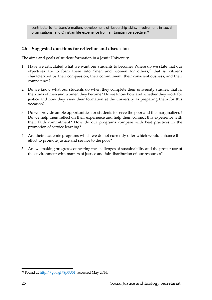contribute to its transformation, development of leadership skills, involvement in social organizations, and Christian life experience from an Ignatian perspective.<sup>23</sup>

#### <span id="page-25-0"></span>**2.6 Suggested questions for reflection and discussion**

The aims and goals of student formation in a Jesuit University.

- 1. Have we articulated what we want our students to become? Where do we state that our objectives are to form them into "men and women for others," that is, citizens characterized by their compassion, their commitment, their conscientiousness, and their competence?
- 2. Do we know what our students do when they complete their university studies, that is, the kinds of men and women they become? Do we know how and whether they work for justice and how they view their formation at the university as preparing them for this vocation?
- 3. Do we provide ample opportunities for students to serve the poor and the marginalized? Do we help them reflect on their experience and help them connect this experience with their faith commitment? How do our programs compare with best practices in the promotion of service learning?
- 4. Are their academic programs which we do not currently offer which would enhance this effort to promote justice and service to the poor?
- 5. Are we making progress connecting the challenges of sustainability and the proper use of the environment with matters of justice and fair distribution of our resources?

 $\ddot{\phantom{a}}$ 

<sup>23</sup> Found at [http://goo.gl/8p0U51,](http://goo.gl/8p0U51) accessed May 2014.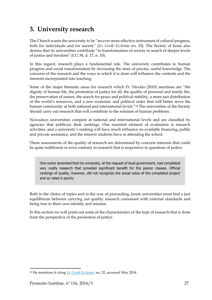## <span id="page-26-0"></span>**3. University research**

The Church wants the university to be "an ever more effective instrument of cultural progress, both for individuals and for society" (*Ex Corde Ecclesiae* no. 32). The Society of Jesus also desires that its universities contribute "to transformation of society in search of deeper levels of justice and freedom" (CG 34, d. 17, n. 10).

In this regard, research plays a fundamental role. The university contributes to human progress and social transformation by increasing the store of precise, useful knowledge. The concerns of the research and the ways in which it is done will influence the contents and the interests incorporated into teaching.

Some of the major thematic areas for research which Fr. Nicolás (2010) mentions are "the dignity of human life, the promotion of justice for all, the quality of personal and family life, the preservation of nature, the search for peace and political stability, a more just distribution of the world's resources, and a new economic and political order that will better serve the human community at both national and international levels."<sup>24</sup> The universities of the Society should carry out research that will contribute to the solution of human problems.

Nowadays universities compete at national and international levels and are classified by agencies that publicize their rankings. One essential element of evaluation is research activities, and a university's ranking will have much influence on available financing, public and private assistance, and the interest students have in attending the school.

These assessments of the quality of research are determined by concrete interests that could be quite indifferent or even contrary to research that is responsive to questions of justice.

One rector lamented that his university, at the request of local government, had completed very costly research that provided significant benefit for the poorer classes. Official rankings of quality, however, did not recognize the social value of the completed project and so rated it poorly.

Both in the choice of topics and in the way of proceeding, Jesuit universities must find a just equilibrium between carrying out quality research consonant with external standards and being true to their own identity and mission.

In this section we will point out some of the characteristics of the type of research that is done from the perspective of the promotion of justice.

<sup>24</sup> He mentions it citing *[Ex Corde Ecclesiae,](http://www.vatican.va/holy_father/john_paul_ii/apost_constitutions/documents/hf_jp-ii_apc_15081990_ex-corde-ecclesiae_en.html)* no. 32, accessed May 2014.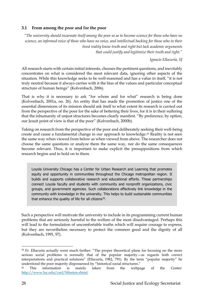#### <span id="page-27-0"></span>**3.1 From among the poor and for the poor**

*"The university should incarnate itself among the poor so as to become science for those who have no science, an informed voice of those who have no voice, and intellectual backing for those who in their lived reality know truth and right but lack academic arguments that could justify and legitimize their truth and right."*

*Ignacio Ellacuría, SJ*

All research starts with certain initial interests, chooses the pertinent questions, and inevitably concentrates on what is considered the most relevant data, ignoring other aspects of the situation. While this knowledge seeks to be well-reasoned and has a value in itself, "it is not truly neutral because it always carries with it the bias of the values and particular conceptual structure of human beings" (Kolvenbach, 2006).

That is why it is necessary to ask "for whom and for what" research is being done (Kolvenbach, 2001a, no. 26). An entity that has made the promotion of justice one of the essential dimensions of its mission should ask itself to what extent its research is carried out from the perspective of the poor for the sake of bettering their lives, for it is in their suffering that the inhumanity of unjust structures becomes clearly manifest. "By preference, by option, our Jesuit point of view is that of the poor" (Kolvenbach, 2000b).

Taking on research from the perspective of the poor and deliberately seeking their well-being create and cause a fundamental change in our approach to knowledge.<sup>25</sup> Reality is not seen the same way when viewed from below as when viewed from above. The researcher does not choose the same questions or analyze them the same way, nor do the same consequences become relevant. Thus, it is important to make explicit the presuppositions from which research begins and to hold on to them.

Loyola University Chicago has a Center for Urban Research and Learning that promotes equity and opportunity in communities throughout the Chicago metropolitan region. It builds and supports collaborative research and educational efforts. These partnerships connect Loyola faculty and students with community and nonprofit organizations, civic groups, and government agencies. Such collaborations effectively link knowledge in the community with knowledge in the university. This helps to build sustainable communities that enhance the quality of life for all citizens<sup>26</sup>.

Such a perspective will motivate the university to include in its programming current human problems that are seriously harmful to the welfare of the most disadvantaged. Perhaps this will lead to the formulation of uncomfortable truths which will require courage to express, but they are nevertheless necessary to protect the common good and the dignity of all (Kolvenbach, 1991, 97).

<sup>&</sup>lt;sup>25</sup> Fr. Ellacuría actually went much farther: "The proper theoretical plane for focusing on the more serious social problems is normally that of the popular majority—as regards both correct interpretations and practical solutions" (Ellacuría, 1982, 791). By the term "popular majority" he understood the poor majority dispossessed by "historical social structures."

<sup>26</sup> This information is mainly taken from the webpage of the Center: [http://www.luc.edu/curl/Mission.shtml.](http://www.luc.edu/curl/Mission.shtml)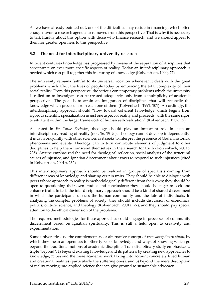As we have already pointed out, one of the difficulties may reside in financing, which often enough favors a research agenda far removed from this perspective. That is why it is necessary to talk frankly about this option with those who finance research, and we should appeal to them for greater openness to this perspective.

#### <span id="page-28-0"></span>**3.2 The need for interdisciplinary university research**

In recent centuries knowledge has progressed by means of the separation of disciplines that concentrate on ever more specific aspects of reality. Today an interdisciplinary approach is needed which can pull together this fracturing of knowledge (Kolvenbach, 1990, 77).

The university remains faithful to its universal vocation whenever it deals with the great problems which affect the lives of people today by embracing the total complexity of their social reality. From this perspective, the serious contemporary problems which the university is called on to investigate can be treated adequately only from a multiplicity of academic perspectives. The goal is to attain an integration of disciplines that will reconcile the knowledge which proceeds from each one of them (Kolvenbach, 1991, 101). Accordingly, the interdisciplinary approach should "flow toward coherent knowledge which begins from rigorous scientific specialization in just one aspect of reality and proceeds, with the same rigor, to situate it within the larger framework of human self-realization" (Kolvenbach, 1987, 32).

As stated in *Ex Corde Ecclesiae*, theology should play an important role in such an interdisciplinary reading of reality (nos. 16, 19-20). Theology cannot develop independently; it must work jointly with other sciences as it seeks to interpret the presence of God in historical phenomena and events. Theology can in turn contribute elements of judgment to other disciplines to help them transcend themselves in their search for truth (Kolvenbach, 2001b, 235). Arrupe emphasized the need for theological reflection, social analysis of the structural causes of injustice, and Ignatian discernment about ways to respond to such injustices (cited in Kolvenbach, 2001b, 232).

This interdisciplinary approach should be realized in groups of specialists coming from different areas of knowledge and sharing certain traits. They should be able to dialogue with peers whose approach to reality is methodologically different from their own; they should be open to questioning their own studies and conclusions; they should be eager to seek and enhance truth. In fact, the interdisciplinary approach should be a kind of shared discernment in which the participants discuss the human community and the fate of individuals. In analyzing the complex problems of society, they should include discussion of economics, politics, culture, science, and theology (Kolvenbach, 2001a, 27), and they should pay special attention to the ethical dimension of the problems.

The required methodologies for these approaches could engage in processes of community discernment based on Ignatian spirituality. This is still a field open to creativity and experimentation.

Some universities use the complementary or alternative concept of *transdisciplinary study*, by which they mean an openness to other types of knowledge and ways of knowing which go beyond the traditional notions of academic discipline. Transdisciplinary study emphasizes a triple "beyond": 1) beyond existing knowledge and its patterns by creating new approaches to knowledge; 2) beyond the mere academic work taking into account concretely lived human and creational realities (particularly the suffering ones), and 3) beyond the mere description of reality moving into applied science that can give ground to sustainable advocacy.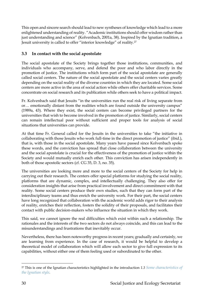This open and sincere search should lead to new syntheses of knowledge which lead to a more enlightened understanding of reality. "Academic institutions should offer wisdom rather than just understanding and science" (Kolvenbach, 2001a, 38). Inspired by the Ignatian tradition, a Jesuit university is called to offer "interior knowledge" of reality.<sup>27</sup>

#### <span id="page-29-0"></span>**3.3 In contact with the social apostolate**

The social apostolate of the Society brings together those institutions, communities, and individuals who accompany, serve, and defend the poor and who labor directly in the promotion of justice. The institutions which form part of the social apostolate are generally called social centers. The nature of the social apostolate and the social centers varies greatly depending on the social reality of the diverse countries in which they are located. Some social centers are more active in the area of social action while others offer charitable services. Some concentrate on social research and its publication while others seek to have a political impact.

Fr. Kolvenbach said that Jesuits "in the universities run the real risk of living separate from or… emotionally distant from the realities which are found outside the university campus" (1989a, 43). Where they exist, the social centers can become privileged partners for the universities that wish to become involved in the promotion of justice. Similarly, social centers can remain intellectual poor without sufficient and proper tools for analysis of social situations that universities can provide.

At that time Fr. General called for the Jesuits in the universities to take "the initiative in collaborating with those Jesuits who work full-time in the direct promotion of justice" (ibid.), that is, with those in the social apostolate. Many years have passed since Kolvenbach spoke these words, and the conviction has spread that close collaboration between the university and the social apostolate is crucial for the effectiveness of the promotion of justice within the Society and would mutually enrich each other. This conviction has arisen independently in both of those apostolic sectors (cf. CG 35, D. 3, no. 35).

The universities are looking more and more to the social centers of the Society for help in carrying out their research. The centers offer special platforms for studying the social reality, platforms that are dynamic, complex, and intellectually challenging. They also offer for consideration insights that arise from practical involvement and direct commitment with that reality. Some social centers produce their own studies, such that they can form part of the interdisciplinary teams and thus enrich the university work. For their part, the social centers have long recognized that collaboration with the academic world adds rigor to their analysis of reality, enriches their reflection, fosters the solidity of their proposals, and facilitates their contact with public decision-makers who influence the situation in which they work.

This said, we cannot ignore the real difficulties which exist within such a relationship. The rationales and the interests of the two sectors do not always coincide, and this can lead to the misunderstandings and frustrations that inevitably occur.

Nevertheless, there has been noteworthy progress in recent years; gradually and certainly, we are learning from experience. In the case of research, it would be helpful to develop a theoretical model of collaboration which will allow each sector to give full expression to its capabilities, without either one of them feeling used or subordinated to the other.

<sup>27</sup> This is one of the Ignatian characteristics highlighted in the introduction *[1.3](#page-11-0) [Some characteristics of](#page-11-0)  [the Ignatian style](#page-11-0)*.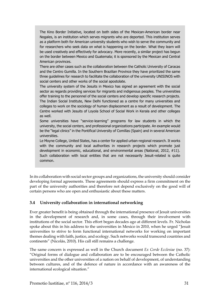The Kino Border Initiative, located on both sides of the Mexican-American border near Nogales, is an institution which serves migrants who are deported. This institution serves as a platform both for American university students who wish to serve the community and for researchers who seek data on what is happening on the border. What they learn will be used creatively and effectively for advocacy. More recently, a similar project has begun on the border between Mexico and Guatemala; it is sponsored by the Mexican and Central American provinces.

There are other cases such as the collaboration between the Catholic University of Caracas and the Centro Gumilla. In the Southern Brazilian Province they have prioritized the same three guidelines for research to facilitate the collaboration of the university UNISINOS with social centers and other works of the social apostolate.

The university system of the Jesuits in Mexico has signed an agreement with the social sector as regards providing services for migrants and indigenous peoples. The universities offer training to the personnel of the social centers and develop specific research projects. The Indian Social Institute, New Delhi functioned as a centre for many universities and colleges to work on the sociology of human displacement as a result of development. The Centre worked with Jesuits of Loyola School of Social Work in Kerala and other colleges as well.

Some universities have "service-learning" programs for law students in which the university, the social centers, and professional organizations participate. An example would be the "legal clinics" in the Pontifical University of Comillas (Spain) and in several American universities.

Le Moyne College, United States, has a center for applied urban-regional research. It works with the community and local authorities in research projects which promote just development in economic, educational, and environmental areas (National, 2012, #11). Such collaboration with local entities that are not necessarily Jesuit-related is quite common.

In its collaboration with social sector groups and organizations, the university should consider developing formal agreements. These agreements should express a firm commitment on the part of the university authorities and therefore not depend exclusively on the good will of certain persons who are open and enthusiastic about these matters.

#### <span id="page-30-0"></span>**3.4 University collaboration in international networking**

Ever greater benefit is being obtained through the international presence of Jesuit universities in the development of research and, in some cases, through their involvement with institutions of the social sector. This effort began decades ago at different levels. Fr. Nicholas spoke about this in his address to the universities in Mexico in 2010, when he urged "Jesuit universities to strive to form functional international networks for working on important themes dealing with faith, justice, and ecology. Such networks would transcend countries and continents" (Nicolás, 2010). His call still remains a challenge.

The same concern is expressed as well in the Church document *Ex Corde Ecclesiae* (no. 37): "Original forms of dialogue and collaboration are to be encouraged between the Catholic universities and the other universities of a nation on behalf of development, of understanding between cultures, and of the defence of nature in accordance with an awareness of the international ecological situation."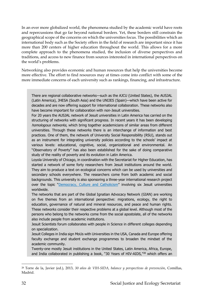In an ever more globalized world, the phenomena studied by the academic world have roots and repercussions that go far beyond national borders. Yet, these borders still constrain the geographical scope of the concerns on which the universities focus. The possibilities which an international body such as the Society offers in the field of research are important since it has more than 200 centers of higher education throughout the world. This allows for a more complete approach to the phenomena studied, the inclusion of diverse perspectives and traditions, and access to new finance from sources interested in international perspectives on the world's problems.

Networking also provides economic and human resources that help the universities become more effective. The effort to find resources may at times come into conflict with some of the more immediate concerns of each university such as rankings, financing, and infrastructure.

There are regional collaborative networks—such as the AJCU (United States), the AUSJAL (Latin America), JHESA (South Asia) and the UNIJES (Spain)—which have been active for decades and are now offering support for international collaboration. These networks also have become important for collaboration with non-Jesuit universities.

For 20 years the AUSJAL network of Jesuit universities in Latin America has carried on the structuring of networks with significant progress. In recent years it has been developing homologous networks, which bring together academicians of similar areas from different universities. Through these networks there is an interchange of information and best practices. One of them, the network of University Social Responsibility (RSU), stands out as an instrument for integrating university policies according to the schools' impact at various levels: educational, cognitive, social, organizational and environmental. An "Observatory of Poverty" has also been established for the sake of doing comparative study of the reality of poverty and its evolution in Latin America.

Loyola University of Chicago, in coordination with the Secretariat for Higher Education, has started a network of some forty researchers from Jesuit institutions around the world. They aim to produce a text on ecological concerns which can be used by universities and secondary schools everywhere. The researchers come from both academic and social backgrounds. This university is also sponsoring a three-year international research project over the topic "[Democracy, Culture and Catholicism](http://www.luc.edu/dccirp/)" involving six Jesuit universities worldwide.

The networks that are part of the Global Ignatian Advocacy Network (GIAN) are working on five themes from an international perspective: migrations, ecology, the right to education, governance of natural and mineral resources, and peace and human rights. These networks consider their respective problems at a global level. Although most of the persons who belong to the networks come from the social apostolate, all of the networks also include people from academic institutions.

Jesuit Scientists forum collaborates with people in Science in different colleges depending on specialization.

Jesuit Colleges in India sign MoUs with Universities in the USA, Canada and Europe offering faculty exchange and student exchange programmes to broaden the mindset of the academic community.

Twenty-one mostly Jesuit institutions in the United States, Latin America, Africa, Europe, and India collaborated in publishing a book, "30 Years of HIV-AIDS,"<sup>28</sup> which offers an

<sup>28</sup> Torre de la, Javier (ed.), 2013, *30 años de VIH-SIDA, balance y perspectivas de prevención*, Comillas, Madrid.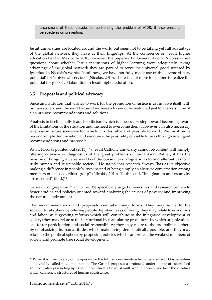assessment of three decades of confronting the problem of AIDS; it also presents perspectives on prevention.

Jesuit universities are located around the world but seem not to be taking yet full advantage of the global network they have at their fingertips. At the conference on Jesuit higher education held in Mexico in 2010, however, the Superior Fr. General Adolfo Nicolás raised questions about whether Jesuit institutions of higher learning were adequately taking advantage of the global network they are part of to serve the universal good stressed by Ignatius. In Nicolás's words, "until now, we have not fully made use of this 'extraordinary potential' for 'universal' service." (Nicolás, 2010). There is a lot more to be done to realize the potential for global collaboration in Jesuit higher education.

#### <span id="page-32-0"></span>**3.5 Proposals and political advocacy**

Since an institution that wishes to work for the promotion of justice must involve itself with human society and the world around us, research cannot be restricted just to analysis; it must also propose recommendations and solutions.

Analysis in itself usually leads to criticism, which is a necessary step toward becoming aware of the limitations of the situation and the need to overcome them. However, it is also necessary to envision future scenarios for which it is desirable and possible to work. We must move beyond simple denunciation and announce the possibility of viable futures through intelligent recommendations and proposals.

As Fr. Nicolás pointed out (2013), "a Jesuit Catholic university cannot be content with simply offering criticism or diagnostics of the great problems of humankind. Rather, it has the mission of bringing diverse worlds of discourse into dialogue so as to find alternatives for a truly human and sustainable society." He stated that research always "has as its objective making a difference in people's lives instead of being simply an abstruse conversation among members of a closed, elitist group" (Nicolás, 2010). To this end, "imagination and creativity are essential" (ibid.)<sup>29</sup>

General Congregation 35 (D. 3, no. 35) specifically urged universities and research centers to foster studies and policies oriented toward analyzing the causes of poverty and improving the natural environment.

The recommendations and proposals can take many forms. They may relate to the sociocultural sphere by offering people dignified ways of living; they may relate to economics and labor by suggesting reforms which will contribute to the integrated development of society; they may relate to the institutional by formulating procedures by which organizations can foster participation and social responsibility; they may relate to the pre-political sphere by emphasizing human attitudes which make living democratically possible; and they may relate to the political sphere by proposing policies which can protect the weakest members of society and promote true social development.

 $\overline{\phantom{a}}$ 

<sup>&</sup>lt;sup>29</sup> When it is time to carry out proposals for the future, a university which operates from Gospel values is inevitably called to contemplation. The Gospel proposes a profound undermining of established values by always winding up as counter-cultural. One must mull over, interiorize and taste those values which can renew structures of human coexistence.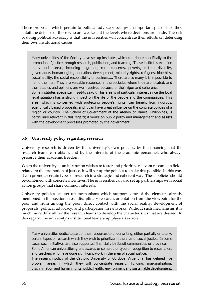Those proposals which pertain to political advocacy occupy an important place since they entail the defense of those who are weakest at the levels where decisions are made. The risk of doing political advocacy is that the universities will concentrate their efforts on defending their own institutional causes.

Many universities of the Society have set up institutes which contribute specifically to the promotion of justice through research, publication, and teaching. These institutes examine many social areas, including migration, rural concerns, poverty, cultural diversity, governance, human rights, education, development, minority rights, refugees, bioethics, sustainability, the social responsibility of business…. There are so many it is impossible to name them all. They are valuable resources in the societies where they are located, and their studies and opinions are well received because of their rigor and coherence. Some institutes specialize in *public policy*. This area is of particular interest since the local legal situation has a strong impact on the life of the people and the communities. This area, which is concerned with protecting people's rights, can benefit from rigorous, scientifically based proposals, and it can have great influence on the concrete policies of a region or country. The School of Government at the Ateneo of Manila, Philippines, is particularly relevant in this regard; it works on public policy and management and assists with the development processes promoted by the government.

#### <span id="page-33-0"></span>**3.6 University policy regarding research**

University research is driven by the university's own policies, by the financing that the research teams can obtain, and by the interests of the academic personnel, who always preserve their academic freedom.

When the university as an institution wishes to foster and prioritize relevant research in fields related to the promotion of justice, it will set up the policies to make this possible. In this way it can promote certain types of research in a strategic and coherent way. These policies should be combined with concrete incentives. The universities can also set up partnerships with social action groups that share common interests.

University policies can set up mechanisms which support some of the elements already mentioned in this section: cross-disciplinary research, orientation from the viewpoint for the poor and from among the poor, direct contact with the social reality, development of proposals, political advocacy, and participation in networks. Without such mechanisms it is much more difficult for the research teams to develop the characteristics that are desired. In this regard, the university's institutional leadership plays a key role.

Many universities dedicate part of their resources to underwriting, either partially or totally, certain types of research which they wish to prioritize in the area of social justice. In some cases such initiatives are also supported financially by Jesuit communities or provinces. Some American universities grant awards or some other type of recognition to researchers and teachers who have done significant work in the area of social justice. The research policy of the Catholic University of Córdoba, Argentina, has defined five problem areas in which they will concentrate research funding: marginalization, discrimination and human rights, public health, environment and sustainable development,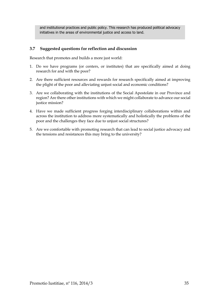and institutional practices and public policy. This research has produced political advocacy initiatives in the areas of environmental justice and access to land.

#### <span id="page-34-0"></span>**3.7 Suggested questions for reflection and discussion**

Research that promotes and builds a more just world:

- 1. Do we have programs (or centers, or institutes) that are specifically aimed at doing research for and with the poor?
- 2. Are there sufficient resources and rewards for research specifically aimed at improving the plight of the poor and alleviating unjust social and economic conditions?
- 3. Are we collaborating with the institutions of the Social Apostolate in our Province and region? Are there other institutions with which we might collaborate to advance our social justice mission?
- 4. Have we made sufficient progress forging interdisciplinary collaborations within and across the institution to address more systematically and holistically the problems of the poor and the challenges they face due to unjust social structures?
- 5. Are we comfortable with promoting research that can lead to social justice advocacy and the tensions and resistances this may bring to the university?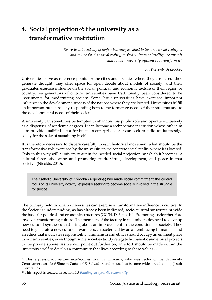## <span id="page-35-0"></span>**4. Social projection30: the university as a transformative institution**

*"Every Jesuit academy of higher learning is called to live in a social reality…*  and to live for that social reality, to shed university intelligence upon it *and to use university influence to transform it"*

*Fr. Kolvenbach (2000b)*

Universities serve as reference points for the cities and societies where they are based: they generate thought, they offer space for open debate about models of society, and their graduates exercise influence on the social, political, and economic texture of their region or country. As generators of culture, universities have traditionally been considered to be instruments for modernizing society. Some Jesuit universities have exercised important influence in the development process of the nations where they are located. Universities fulfill an important public role by responding both to the formative needs of their students and to the developmental needs of their societies.

A university can sometimes be tempted to abandon this public role and operate exclusively as a dispenser of academic degrees. It can become a technocratic institution whose only aim is to provide qualified labor for business enterprises, or it can seek to build up its prestige solely for the sake of sustaining itself.

It is therefore necessary to discern carefully in each historical movement what should be the transformative role exercised by the university in the concrete social reality where it is located. Only in this way will a university attain the needed social projection by which it becomes "a cultural force advocating and promoting truth, virtue, development, and peace in that society" (Nicolás, 2010).

The Catholic University of Córdoba (Argentina) has made social commitment the central focus of its university activity, expressly seeking to become socially involved in the struggle for justice.

The primary field in which universities can exercise a transformative influence is culture. In the Society's understanding, as has already been indicated, socio-cultural structures provide the basis for political and economic structures (GC 34, D. 3, no. 10). Promoting justice therefore involves transforming culture. The members of the faculty in the universities need to develop new cultural syntheses that bring about an improvement in the conditions of society. They need to generate a new cultural awareness, characterized by an all-embracing humanism and an ethics that inculcates responsibility. Humanism and ethics should occupy an eminent place in our universities, even though some societies tacitly relegate humanistic and ethical projects to the private sphere. As we will point out further on, an effort should be made within the university itself to develop a community that lives according to these values.<sup>31</sup>

<sup>&</sup>lt;sup>30</sup> This expression–*proyección social*–comes from Fr. Ellacuría, who was rector of the University Centroamericana José Simeón Cañas of El Salvador, and its use has become widespread among Jesuit universities.

<sup>31</sup> This aspect is treated in section *[5.3](#page-46-0) [Building an apostolic community](#page-46-0)* .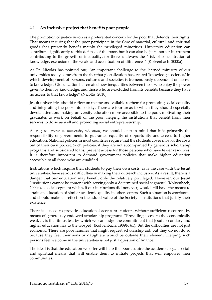#### <span id="page-36-0"></span>**4.1 An inclusive project that benefits poor people**

The promotion of justice involves a preferential concern for the poor that defends their rights. That means insuring that the poor participate in the flow of material, cultural, and spiritual goods that presently benefit mainly the privileged minorities. University education can contribute significantly to this defense of the poor, but it can also be just another instrument contributing to the growth of inequality, for there is always the "risk of concentration of knowledge, exclusion of the weak, and accentuation of differences" (Kolvenbach, 2000a).

As Fr. Nicolás has pointed out, "an important challenge to the learned ministry of our universities today comes from the fact that globalization has created 'knowledge societies,' in which development of persons, cultures and societies is tremendously dependent on access to knowledge. Globalization has created new inequalities between those who enjoy the power given to them by knowledge, and those who are excluded from its benefits because they have no access to that knowledge" (Nicolás, 2010).

Jesuit universities should reflect on the means available to them for promoting social equality and integrating the poor into society. There are four areas to which they should especially devote attention: making university education more accessible to the poor, motivating their graduates to work on behalf of the poor, helping the institutions that benefit from their services to do so as well and promoting social entrepreneurship.

As regards *access to university education*, we should keep in mind that it is primarily the responsibility of governments to guarantee equality of opportunity and access to higher education. National policies in most countries require that the students cover most of the costs out of their own pocket. Such policies, if they are not accompanied by generous scholarship programs and subsidized loans, prevent access for those persons who have fewer resources. It is therefore important to demand government policies that make higher education accessible to all those who are qualified.

Institutions which require their students to pay their own costs, as is the case with the Jesuit universities, have serious difficulties in making their outreach inclusive. As a result, there is a danger that our education may benefit only the relatively privileged. However, our Jesuit "institutions cannot be content with serving only a determined social segment" (Kolvenbach, 2000a), a social segment which, if our institutions did not exist, would still have the means to attain an education of similar academic quality in other centers. Such a situation is worrisome and should make us reflect on the added value of the Society's institutions that justify their existence.

There is a need to provide educational access to students without sufficient resources by means of generously endowed scholarship programs. "Providing access to the economically weak … is the litmus test by which we can judge the commitment that Jesuit secondary and higher education has to the Gospel" (Kolvenbach, 1989b, 61). But the difficulties are not just economic. There are poor families that might request scholarship aid, but they do not do so because they feel their sons or daughters would be outside their element. Helping such persons feel welcome in the universities is not just a question of finance.

The ideal is that the education we offer will help the poor acquire the academic, legal, social, and spiritual means that will enable them to initiate projects that will empower their communities.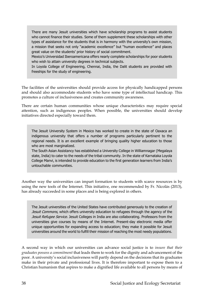There are many Jesuit universities which have scholarship programs to assist students who cannot finance their studies. Some of them supplement these scholarships with other types of assistance for the students that is in harmony with the university's own mission, a mission that seeks not only "academic excellence" but "human excellence" and places great value on the students' prior history of social commitment.

Mexico's Universidad Iberoamericana offers nearly complete scholarships for poor students who wish to attain university degrees in technical subjects.

In Loyola College of Engineering, Chennai, India, the Dalit students are provided with freeships for the study of engineering.

The facilities of the universities should provide access for physically handicapped persons and should also accommodate students who have some type of intellectual handicap. This promotes a culture of inclusiveness and creates community awareness.

There are certain human communities whose unique characteristics may require special attention, such as indigenous peoples. When possible, the universities should develop initiatives directed especially toward them.

The Jesuit University System in Mexico has worked to create in the state of Oaxaca an indigenous university that offers a number of programs particularly pertinent to the regional needs. It is an excellent example of bringing quality higher education to those who are most marginalized.

The South Asian Assistancy has established a University College in Williamnagar (Megalaya state, India) to cater to the needs of the tribal community. In the state of Karnataka Loyola College Manvi, is intended to provide education to the first generation learners from India's untouchable communities.

Another way the universities can impart formation to students with scarce resources is by using the new tools of the Internet. This initiative, one recommended by Fr. Nicolás (2013), has already succeeded in some places and is being explored in others.

The Jesuit universities of the United States have contributed generously to the creation of Jesuit Commons, which offers university education to refugees through the agency of the Jesuit Refugee Service. Jesuit Colleges in India are also collaborating. Professors from the universities give courses by means of the Internet. Present-day electronic media offer unique opportunities for expanding access to education; they make it possible for Jesuit universities around the world to fulfill their mission of reaching the most needy populations.

A second way in which our universities can advance social justice is to *insure that their graduates possess a commitment* that leads them to work for the dignity and advancement of the poor. A university's social inclusiveness will partly depend on the decisions that its graduates make in their private and professional lives. It is therefore important to expose them to a Christian humanism that aspires to make a dignified life available to all persons by means of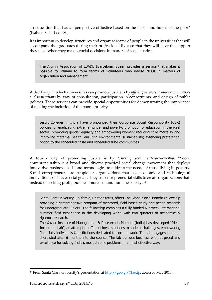an education that has a "perspective of justice based on the needs and hopes of the poor" (Kolvenbach, 1990, 80).

It is important to develop structures and organize teams of people in the universities that will accompany the graduates during their professional lives so that they will have the support they need when they make crucial decisions in matters of social justice.

The Alumni Association of ESADE (Barcelona, Spain) provides a service that makes it possible for alumni to form teams of volunteers who advise NGOs in matters of organization and management.

A third way in which universities can promote justice is by *offering services to other communities and institutions* by way of consultation, participation in consortiums, and design of public policies. These services can provide special opportunities for demonstrating the importance of making the inclusion of the poor a priority.

Jesuit Colleges in India have pronounced their Corporate Social Responsibility (CSR) policies for eradicating extreme hunger and poverty; promotion of education in the rural sector; promoting gender equality and empowering women; reducing child mortality and improving maternal health; ensuring environmental sustainability; extending preferential option to the scheduled caste and scheduled tribe communities.

A fourth way of promoting justice is by *fostering social entrepreneurship*. "Social entrepreneurship is a broad and diverse practical social change movement that deploys innovative business skills and technologies to address the needs of those living in poverty. Social entrepreneurs are people or organizations that use economic and technological innovation to achieve social goals. They use entrepreneurial skills to create organizations that, instead of seeking profit, pursue a more just and humane society."<sup>32</sup>

Santa Clara University, California, United States, offers The Global Social Benefit Fellowship providing a comprehensive program of mentored, field-based study and action research for undergraduate juniors. The fellowship combines a fully funded 6-7 week international summer field experience in the developing world with two quarters of academically rigorous research.

The Xavier Institute of Management & Research in Mumbai (India) has developed "Ideas Incubation Lab", an attempt to offer business solutions to societal challenges, empowering financially individuals & institutions dedicated to societal work. The lab engages students shortlisted after 6 months into the course. The lab pursues business without greed and excellence for solving India's most chronic problems in a most effective way.

<sup>32</sup> From Santa Clara university's presentation at [http://goo.gl/Ykoxtp,](http://goo.gl/Ykoxtp) accessed May 2014.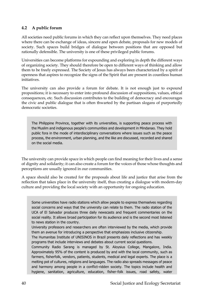#### <span id="page-39-0"></span>**4.2 A public forum**

All societies need public forums in which they can reflect upon themselves. They need places where there can be exchange of ideas, sincere and open debate, proposals for new models of society. Such spaces build bridges of dialogue between positions that are opposed but rationally defensible. The university is one of these privileged public forums.

Universities can become platforms for expounding and exploring in depth the different ways of organizing society. They should therefore be open to different ways of thinking and allow them to be freely expressed. The Society of Jesus has always been characterized by a spirit of openness that aspires to recognize the signs of the Spirit that are present in countless human initiatives.

The university can also provide a forum for debate. It is not enough just to expound propositions; it is necessary to enter into profound discussion of suppositions, values, ethical consequences, etc. Such discussion contributes to the building of democracy and encourages the civic and public dialogue that is often thwarted by the partisan slogans of purportedly democratic societies.

The Philippine Province, together with its universities, is supporting peace process with the Muslim and indigenous people's communities and development in Mindanao. They hold public fora in the mode of interdisciplinary conversations where issues such as the peace process, the environment, urban planning, and the like are discussed, recorded and shared on the social media.

The university can provide space in which people can find meaning for their lives and a sense of dignity and solidarity; it can also create a forum for the voices of those whose thoughts and perceptions are usually ignored in our communities.

A space should also be created for the proposals about life and justice that arise from the reflection that takes place in the university itself, thus creating a dialogue with modern-day culture and providing the local society with an opportunity for ongoing education.

Some universities have radio stations which allow people to express themselves regarding social concerns and ways that the university can relate to them. The radio station of the UCA of El Salvador produces three daily newscasts and frequent commentaries on the social reality. It allows broad participation for its audience and is the second most listened to news station in the country.

University professors and researchers are often interviewed by the media, which provide them an avenue for introducing a perspective that emphasizes inclusive citizenship.

The Humanitas Institute of UNISINOS in Brazil presents daily reflections and has weekly programs that include interviews and debates about current social questions.

Community Radio Sarang is managed by St. Aloysius College, Mangalore, India. Approximately 95% of the content is produced by and with the local community, such as farmers, fisherfolk, vendors, patients, students, medical and legal experts. The place is a melting pot of cultures, religions and languages. The radio also spreads messages of peace and harmony among people in a conflict-ridden society. The topics include health and hygiene, sanitation, agriculture, education, fisher-folk issues, road safety, water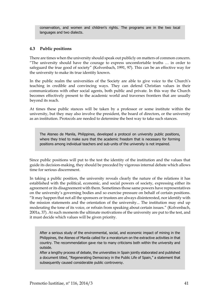conservation, and women and children's rights. The programs are in the two local languages and two dialects.

#### <span id="page-40-0"></span>**4.3 Public positions**

There are times when the university should speak out publicly on matters of common concern. "The university should have the courage to express uncomfortable truths … in order to safeguard the true good of society" (Kolvenbach, 1991, 97). This can be an effective way for the university to make its true identity known.

In the public realm the universities of the Society are able to give voice to the Church's teaching in credible and convincing ways. They can defend Christian values in their communications with other social agents, both public and private. In this way the Church becomes effectively present to the academic world and traverses frontiers that are usually beyond its reach.

At times these public stances will be taken by a professor or some institute within the university, but they may also involve the president, the board of directors, or the university as an institution. Protocols are needed to determine the best way to take such stances.

The Ateneo de Manila, Philippines, developed a protocol on university public positions, where they tried to make sure that the academic freedom that is necessary for forming positions among individual teachers and sub-units of the university is not impaired.

Since public positions will put to the test the identity of the institution and the values that guide its decision-making, they should be preceded by vigorous internal debate which allows time for serious discernment.

In taking a public position, the university reveals clearly the nature of the relations it has established with the political, economic, and social powers of society, expressing either its agreement or its disagreement with them. Sometimes those same powers have representatives on the university's governing bodies and so exercise pressure on behalf of certain positions. "It may happen that not all the sponsors or trustees are always disinterested, nor identify with the mission statements and the orientation of the university... The institution may end up moderating the tone of its voice, or refrain from speaking about certain issues." (Kolvenbach, 2001a, 37). At such moments the ultimate motivations of the university are put to the test, and it must decide which values will be given priority.

After a serious study of the environmental, social, and economic impact of mining in the Philippines, the Ateneo of Manila called for a moratorium on the extractive activities in that country. The recommendation gave rise to many criticisms both within the university and outside.

After a lengthy process of debate, the universities in Spain jointly elaborated and published a document titled, "Regenerating Democracy in the Public Life of Spain," a statement that subsequently caused considerable public controversy.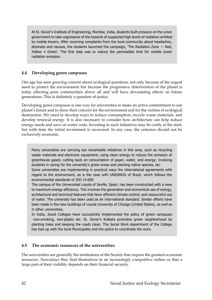At St. Xavier's Institute of Engineering, Mumbai, India, students built pressure on the union government to take cognisance of the hazards of suspected high levels of radiation emitted by mobile towers. After receiving complaints from the local community about headaches, dizziness and nausea, the students launched the campaign, 'The Radiation Zone — Red, Yellow n Green'. The first step was to reduce the permissible limit for mobile tower radiation emission.

#### <span id="page-41-0"></span>**4.4 Developing green campuses**

Our age has seen growing concern about ecological questions, not only because of the urgent need to protect the environment but because the progressive deterioration of the planet is today affecting poor communities above all and will have devastating effects on future generations. This is definitely a question of justice.

Developing green campuses is one way for universities to make an active commitment to our planet's future and to show their concern for the environment and for the victims of ecological destruction. We need to develop ways to reduce consumption, recycle waste materials, and develop renewal energy. It is also necessary to consider how architecture can help reduce energy needs and save on water costs. Investing in such initiatives may be costly at the start, but with time the initial investment is recovered. In any case, the criterion should not be exclusively economic.

Many universities are carrying out remarkable initiatives in this area, such as recycling waste materials and electronic equipment; using clean energy to reduce the emission of greenhouse gases; cutting back on consumption of paper, water, and energy; involving students in caring for the university's green areas and planting native species, etc.

Some universities are implementing in practical ways the international agreements with regard to the environment, as is the case with UNISINOS of Brazil, which follows the environmental standards of ISO 14.000.

The campus of the Universidad Loyola of Seville, Spain, has been constructed with a view to maximum energy efficiency. This involves the generation and economical use of energy, architectural and technical features that favor efficient climate control, and resourceful use of water. The university has been used as an international standard. Similar efforts have been made in the new buildings of Loyola University of Chicago (United States), as well as in other universities.

In India, Jesuit Colleges have successfully implemented the policy of green campuses non-smoking, non-plastic etc. St. Xavier's Kolkata promotes green neighborhood by planting trees and keeping the roads clean. The Social Work department of the College has tied up with the local Municipality and the police to coordinate the work.

#### <span id="page-41-1"></span>**4.5 The economic resources of the universities**

The universities are generally the institutions of the Society that require the greatest economic resources. Nowadays they find themselves in an increasingly competitive milieu so that a large part of their viability depends on their financial security.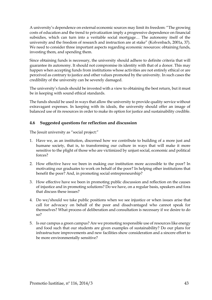A university's dependence on external economic sources may limit its freedom: "The growing costs of education and the trend to privatization imply a progressive dependence on financial subsidies, which can turn into a veritable social mortgage… The autonomy itself of the university and the freedom of research and instruction are at stake" (Kolvenbach, 2001a, 37). We need to consider three important aspects regarding economic resources: obtaining funds, investing them, and spending them.

Since obtaining funds is necessary, the university should adhere to definite criteria that will guarantee its autonomy. It should not compromise its identity with that of a donor. This may happen when accepting funds from institutions whose activities are not entirely ethical or are perceived as contrary to justice and other values promoted by the university. In such cases the credibility of the university can be severely damaged.

The university's funds should be invested with a view to obtaining the best return, but it must be in keeping with sound ethical standards.

The funds should be used in ways that allow the university to provide quality service without extravagant expenses. In keeping with its ideals, the university should offer an image of balanced use of its resources in order to make its option for justice and sustainability credible.

#### <span id="page-42-0"></span>**4.6 Suggested questions for reflection and discussion**

The Jesuit university as "social project:"

- 1. Have we, as an institution, discerned how we contribute to building of a more just and humane society, that is, to transforming our culture in ways that will make it more sensitive to the plight of those who are victimized by unjust social, economic and political forces?
- 2. How effective have we been in making our institution more accessible to the poor? In motivating our graduates to work on behalf of the poor? In helping other institutions that benefit the poor? And, in promoting social entrepreneurship?
- 3. How effective have we been in promoting public discussion and reflection on the causes of injustice and in promoting solutions? Do we have, on a regular basis, speakers and fora that discuss these issues?
- 4. Do we/should we take public positions when we see injustice or when issues arise that call for advocacy on behalf of the poor and disadvantaged who cannot speak for themselves? What process of deliberation and consultation is necessary if we desire to do  $s<sub>0</sub>$
- 5. Is our campus a green campus? Are we promoting responsible use of resources like energy and food such that our students are given examples of sustainability? Do our plans for infrastructure improvements and new facilities show consideration and a sincere effort to be more environmentally sensitive?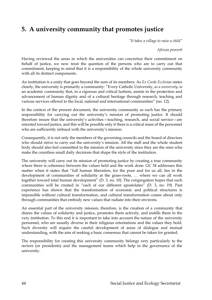## <span id="page-43-0"></span>**5. A university community that promotes justice**

*"It takes a village to raise a child"*

*African proverb*

Having reviewed the areas in which the universities can concretize their commitment on behalf of justice, we now treat the question of the persons who are to carry out that commitment, keeping in mind that it is a responsibility of the whole university community with all its distinct components.

An institution is a unity that goes beyond the sum of its members. As *Ex Corde Ecclesiae* states clearly, the university is primarily a community: "Every Catholic University, *as a university*, is an academic community that, in a rigorous and critical fashion, assists in the protection and advancement of human dignity and of a cultural heritage through research, teaching and various services offered to the local, national and international communities" (no. 12).

In the context of the present document, the university community as such has the primary responsibility for carrying out the university's mission of promoting justice. It should therefore insure that the university's activities—teaching, research, and social service—are oriented toward justice, and this will be possible only if there is a critical mass of the personnel who are sufficiently imbued with the university's mission.

Consequently, it is not only the members of the governing councils and the board of directors who should strive to carry out the university's mission. All the staff and the whole student body should also feel committed to the mission of the university since they are the ones who make the countless small daily decisions that shape the style of the institution.

The university will carry out its mission of promoting justice by creating a true community where there is coherence between the values held and the work done. GC 34 addresses this matter when it states that "full human liberation, for the poor and for us all, lies in the development of communities of solidarity at the grass-roots, … where we can all work together toward total human development" (D. 3, no. 10). The congregation hopes that such communities will be created in "each of our different apostolates" (D. 3, no. 19). Past experience has shown that the transformation of economic and political structures is impossible without cultural transformation, and cultural transformation comes about only through communities that embody new values that radiate into their environs.

An essential part of the university mission, therefore, is the creation of a community that shares the values of solidarity and justice, promotes them actively, and instills them in the very institution. To this end it is important to take into account the nature of the university personnel, who are usually diverse in their religious orientations and the values they hold. Such diversity will require the careful development of areas of dialogue and mutual understanding, with the aim of seeking a basic consensus that cannot be taken for granted.

The responsibility for creating this university community belongs very particularly to the rectors (or presidents) and the management teams which help in the governance of the university.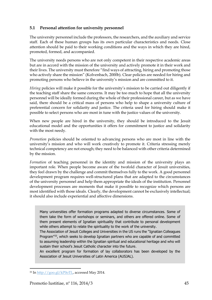#### <span id="page-44-0"></span>**5.1 Personal attention for university personnel**

The university personnel include the professors, the researchers, and the auxiliary and service staff. Each of these human groups has its own particular characteristics and needs. Close attention should be paid to their working conditions and the ways in which they are hired, promoted, formed, and accompanied.

The university needs persons who are not only competent in their respective academic areas but are in accord with the mission of the university and actively promote it in their work and their lives. The university must therefore "find ways of attracting, hiring and promoting those who actively share the mission" (Kolvenbach, 2000b). Clear policies are needed for hiring and promoting persons who believe in the university's mission and are committed to it.

*Hiring* policies will make it possible for the university's mission to be carried out diligently if the teaching staff share the same concerns. It may be too much to hope that all the university personnel will be ideally formed during the whole of their professional career, but as we have said, there should be a critical mass of persons who help to shape a university culture of preferential concern for solidarity and justice. The criteria used for hiring should make it possible to select persons who are most in tune with the justice values of the university.

When new people are hired in the university, they should be introduced to the Jesuit educational model and the opportunities it offers for commitment to justice and solidarity with the most needy.

*Promotion* policies should be oriented to advancing persons who are most in line with the university's mission and who will work creatively to promote it. Criteria stressing merely technical competency are not enough; they need to be balanced with other criteria determined by the mission.

*Formation* of teaching personnel in the identity and mission of the university plays an important role. When people become aware of the twofold character of Jesuit universities, they feel drawn by the challenge and commit themselves fully to the work. A good personnel development program requires well-structured plans that are adapted to the circumstances of the university personnel and help them appropriate the ideals of the institution. Personnel development processes are moments that make it possible to recognize which persons are most identified with those ideals. Clearly, the development cannot be exclusively intellectual; it should also include experiential and affective dimensions.

Many universities offer formation programs adapted to diverse circumstances. Some of them take the form of workshops or seminars, and others are offered online. Some of them present elements of Ignatian spirituality that contribute to personal development while others attempt to relate the spirituality to the work of the university.

The Association of Jesuit Colleges and Universities in the US runs the "Ignatian Colleagues Program"<sup>33</sup>, which seeks to develop Ignatian partners who are capable of and committed to assuming leadership within the Ignatian spiritual and educational heritage and who will sustain their school's Jesuit Catholic character into the future.

An excellent program for formation of lay collaborators has been developed by the Association of Jesuit Universities of Latin America (AUSJAL).

<sup>33</sup> In [http://goo.gl/kP0oTL,](http://goo.gl/kP0oTL) accessed May 2014.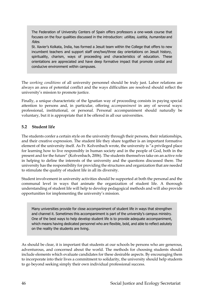The Federation of University Centers of Spain offers professors a one-week course that focuses on the four qualities discussed in the introduction: utilitas, iustitia, humanitas and fides.

St. Xavier's Kolkata, India, has formed a Jesuit team within the College that offers to new incumbent teachers and support staff one/two/three day orientations on Jesuit history, spirituality, charism, ways of proceeding and characteristics of education. These orientations are appreciated and have deep formative impact that promote cordial and conducive environment within campuses.

The *working conditions* of all university personnel should be truly just. Labor relations are always an area of potential conflict and the ways difficulties are resolved should reflect the university's mission to promote justice.

Finally, a unique characteristic of the Ignatian way of proceeding consists in paying special attention to persons and, in particular, offering *accompaniment* in any of several ways: professional, institutional, or personal. Personal accompaniment should naturally be voluntary, but it is appropriate that it be offered in all our universities.

#### <span id="page-45-0"></span>**5.2 Student life**

The students confer a certain style on the university through their persons, their relationships, and their creative expression. The student life they share together is an important formative element of the university itself. As Fr. Kolvenbach wrote, the university is "a privileged place for learning how to live responsibly in human society and in the people of God, both in the present and for the future" (Kolvenbach, 2006). The students themselves take on an active role in helping to define the interests of the university and the questions discussed there. The university has the responsibility for providing the structures and organization that are needed to stimulate the quality of student life in all its diversity.

Student involvement in university activities should be supported at both the personal and the communal level in ways that animate the organization of student life. A thorough understanding of student life will help to develop pedagogical methods and will also provide opportunities for implementing the university's mission.

Many universities provide for close accompaniment of student life in ways that strengthen and channel it. Sometimes this accompaniment is part of the university's campus ministry. One of the best ways to help develop student life is to provide adequate accompaniment, which means having dedicated personnel who are flexible, bold, and able to reflect astutely on the reality the students are living.

As should be clear, it is important that students at our schools be persons who are generous, adventurous, and concerned about the world. The methods for choosing students should include elements which evaluate candidates for these desirable aspects. By encouraging them to incorporate into their lives a commitment to solidarity, the university should help students to go beyond seeking simply their own individual professional success.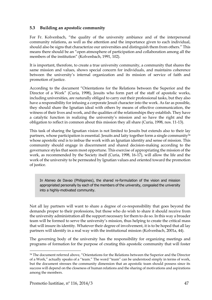#### <span id="page-46-0"></span>**5.3 Building an apostolic community**

For Fr. Kolvenbach, "the quality of the university ambiance and of the interpersonal community relations, as well as the attention and the importance given to each individual, should also be signs that characterize our universities and distinguish them from others." This means there should be an "open atmosphere of participation and collaboration among all the members of the institution" (Kolvenbach, 1991, 102).

It is important, therefore, to create a true university community, a community that shares the same mission and values, shows special concern for individuals, and maintains coherence between the university's internal organization and its mission of service of faith and promotion of justice.

According to the document "Orientations for the Relations between the Superior and the Director of a Work" (Curia, 1998), Jesuits who form part of the staff of apostolic works, including universities, are naturally obliged to carry out their professional tasks, but they also have a responsibility for infusing a corporate Jesuit character into the work. As far as possible, they should share the Ignatian ideal with others by means of effective communication, the witness of their lives and work, and the qualities of the relationships they establish. They have a catalytic function in realizing the university's mission and so have the right and the obligation to reflect in common about this mission they all share (Curia, 1998, nos. 11-13).

This task of sharing the Ignatian vision is not limited to Jesuits but extends also to their lay partners, whose participation is essential. Jesuits and laity together form a single community<sup>34</sup> whose apostolic end is to imbue the work with an Ignatian identity and sense of mission. This community should engage in discernment and shared decision-making according to the governance styles that seem most opportune. This exercise of appropriating the mission of the work, as recommended by the Society itself (Curia, 1998, 16-17), will allow the life and the work of the university to be permeated by Ignatian values and oriented toward the promotion of justice.

In Ateneo de Davao (Philippines), the shared re-formulation of the vision and mission appropriated personally by each of the members of the university, congealed the university into a highly-motivated community.

Not all lay partners will want to share a degree of co-responsibility that goes beyond the demands proper to their professions, but those who do wish to share it should receive from the university administration all the support necessary for them to do so. In this way a broader team will be formed to serve the university's mission, thus helping to create the critical mass that will insure its identity. Whatever their degree of involvement, it is to be hoped that all lay partners will identify in a real way with the institutional mission (Kolvenbach, 2001a, 44).

The governing body of the university has the responsibility for organizing meetings and programs of formation for the purpose of creating this apostolic community that will foster

l

<sup>&</sup>lt;sup>34</sup> The document referred above, "Orientations for the Relations between the Superior and the Director of a Work," actually speaks of a "team." The word "team" can be understood simply in terms of work, but the document stresses the community dimension that an apostolic team should possess since its success will depend on the closeness of human relations and the sharing of motivations and aspirations among the members.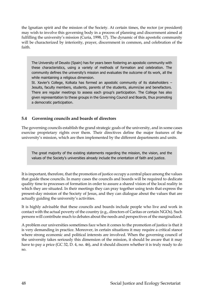the Ignatian spirit and the mission of the Society. At certain times, the rector (or president) may wish to involve this governing body in a process of planning and discernment aimed at fulfilling the university's mission (Curia, 1998, 17). The dynamic of this apostolic community will be characterized by interiority, prayer, discernment in common, and celebration of the faith.

The University of Deusto (Spain) has for years been fostering an apostolic community with these characteristics, using a variety of methods of formation and celebration. The community defines the university's mission and evaluates the outcome of its work, all the while maintaining a religious dimension.

St. Xavier's College, Kolkata has formed an apostolic community of its stakeholders – Jesuits, faculty members, students, parents of the students, alumni/ae and benefactors. There are regular meetings to assess each group's participation. The College has also given representation to these groups in the Governing Council and Boards, thus promoting a democratic participation.

#### <span id="page-47-0"></span>**5.4 Governing councils and boards of directors**

The governing councils establish the grand strategic goals of the university, and in some cases exercise proprietary rights over them. Their directives define the major features of the university's mission, which are then implemented by the different departments and units.

The great majority of the existing statements regarding the mission, the vision, and the values of the Society's universities already include the orientation of faith and justice.

It is important, therefore, that the promotion of justice occupy a central place among the values that guide these councils. In many cases the councils and boards will be required to dedicate quality time to processes of formation in order to assure a shared vision of the local reality in which they are situated. In their meetings they can pray together using texts that express the present-day mission of the Society of Jesus, and they can dialogue about the values that are actually guiding the university's activities.

It is highly advisable that these councils and boards include people who live and work in contact with the actual poverty of the country (e.g., directors of Caritas or certain NGOs). Such persons will contribute much to debates about the needs and perspectives of the marginalized.

A problem our universities sometimes face when it comes to the promotion of justice is that it is very demanding in practice. Moreover, in certain situations it may require a critical stance where strong economic and political interests are involved. When the governing council of the university takes seriously this dimension of the mission, it should be aware that it may have to pay a price (GC 32, D. 4, no. 46), and it should discern whether it is truly ready to do so.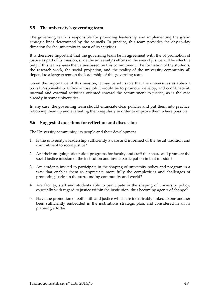#### <span id="page-48-0"></span>**5.5 The university's governing team**

The governing team is responsible for providing leadership and implementing the grand strategic lines determined by the councils. In practice, this team provides the day-to-day direction for the university in most of its activities.

It is therefore important that the governing team be in agreement with the of promotion of justice as part of its mission, since the university's efforts in the area of justice will be effective only if this team shares the values based on this commitment. The formation of the students, the research work, the social projection, and the reality of the university community all depend to a large extent on the leadership of this governing team.

Given the importance of this mission, it may be advisable that the universities establish a Social Responsibility Office whose job it would be to promote, develop, and coordinate all internal and external activities oriented toward the commitment to justice, as is the case already in some universities.

In any case, the governing team should enunciate clear policies and put them into practice, following them up and evaluating them regularly in order to improve them where possible.

#### <span id="page-48-1"></span>**5.6 Suggested questions for reflection and discussion**

The University community, its people and their development.

- 1. Is the university's leadership sufficiently aware and informed of the Jesuit tradition and commitment to social justice?
- 2. Are their on-going orientation programs for faculty and staff that share and promote the social justice mission of the institution and invite participation in that mission?
- 3. Are students invited to participate in the shaping of university policy and program in a way that enables them to appreciate more fully the complexities and challenges of promoting justice in the surrounding community and world?
- 4. Are faculty, staff and students able to participate in the shaping of university policy, especially with regard to justice within the institution, thus becoming agents of change?
- 5. Have the promotion of both faith and justice which are inextricably linked to one another been sufficiently embedded in the institutions strategic plan, and considered in all its planning efforts?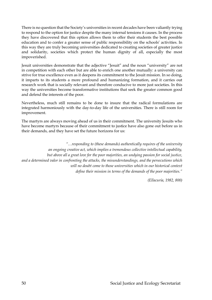There is no question that the Society's universities in recent decades have been valiantly trying to respond to the option for justice despite the many internal tensions it causes. In the process they have discovered that this option allows them to offer their students the best possible education and to confer a greater sense of public responsibility on the schools' activities. In this way they are truly becoming universities dedicated to creating societies of greater justice and solidarity, societies which protect the human dignity of all, especially the most impoverished.

Jesuit universities demonstrate that the adjective "Jesuit" and the noun "university" are not in competition with each other but are able to enrich one another mutually: a university can strive for true excellence even as it deepens its commitment to the Jesuit mission. In so doing, it imparts to its students a more profound and humanizing formation, and it carries out research work that is socially relevant and therefore conducive to more just societies. In this way the universities become transformative institutions that seek the greater common good and defend the interests of the poor.

Nevertheless, much still remains to be done to insure that the radical formulations are integrated harmoniously with the day-to-day life of the universities. There is still room for improvement.

The martyrs are always moving ahead of us in their commitment. The university Jesuits who have become martyrs because of their commitment to justice have also gone out before us in their demands, and they have set the future horizons for us:

*"…responding to (these demands) authentically requires of the university an ongoing creative act, which implies a tremendous collective intellectual capability, but above all a great love for the poor majorities, an undying passion for social justice, and a determined valor in confronting the attacks, the misunderstandings, and the persecutions which will no doubt come to those universities which in our historical context define their mission in terms of the demands of the poor majorities."* 

*(Ellacuría, 1982, 800)*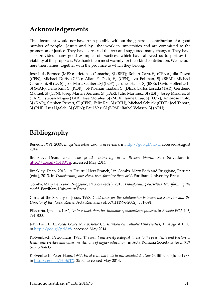## <span id="page-50-0"></span>**Acknowledgements**

This document would not have been possible without the generous contribution of a good number of people -Jesuits and lay- that work in universities and are committed to the promotion of justice. They have corrected the text and suggested many changes. They have also provided many good examples of practices, which have allowed us to portray the viability of the proposals. We thank them most warmly for their kind contribution. We include here their names, together with the province to which they belong:

José Luis Bermeo (MEX); Ildefonso Camacho, SJ (BET); Robert Caro, SJ (CFN); Julia Dowd (CFN); Michael Duffy (CFN); Allan F. Deck, SJ (CFN); Ivo Follman, SJ (BRM); Michael Garanzini, SJ (UCS); Jose María Guibert, SJ (LOY); Jacques Haers, SJ (BSE); David Hollenbach, SJ (MAR); Denis Kim, SJ (KOR); Job Kozhamthadam, SJ (DEL); Carlos Losada (TAR); Gerdenio Manuel, SJ (CFN); Josep Mària i Serrano, SJ (TAR); Julio Martínez, SJ (ESP); Josep Miralles, SJ (TAR); Esteban Mogas (TAR); José Morales, SJ (MEX); Jaime Oraá, SJ (LOY); Ambrose Pinto, SJ (KAR); Stephen Privett, SJ (CFN); Felix Raj, SJ (CCU); Michael Schuck (CDT); Joel Tabora, SJ (PHI); Luis Ugalde, SJ (VEN); Paul Vaz, SJ (BOM); Rafael Velasco, SJ (ARU).

## <span id="page-50-1"></span>**Bibliography**

Benedict XVI, 2009, *Encyclical letter Caritas in veritate,* in [http://goo.gl/hcxL,](http://goo.gl/hcxL) accessed August 2014.

Brackley, Dean, 2005, *The Jesuit University in a Broken World*, San Salvador, in [http://goo.gl/45HOVn,](http://goo.gl/45HOVn) accessed May 2014.

Brackley, Dean, 2013, "A Fruitful New Branch," in Combs, Mary Beth and Ruggiano, Patricia (eds.), 2013, in *Transforming ourselves, transforming the world*, Fordham University Press.

Combs, Mary Beth and Ruggiano, Patricia (eds.), 2013, *Transforming ourselves, transforming the world*, Fordham University Press.

Curia of the Society of Jesus, 1998, *Guidelines for the relationship between the Superior and the Director of the Work*, Rome, Acta Romana vol. XXII (1996-2002), 381-391.

Ellacuría, Ignacio, 1982, *Universidad, derechos humanos y mayorías populares*, in *Revista ECA* 406, 791-800.

John Paul II, *Ex corde Ecclesiae*, *Apostolic Constitution on Catholic Universities*, 15 August 1990, in [http://goo.gl/pdAz8,](http://goo.gl/pdAz8) accessed May 2014.

Kolvenbach, Peter-Hans, 1985, *The Jesuit university today*; *Address to the presidents and Rectors of Jesuit universities and other institutions of higher education,* in Acta Romana Societatis Jesu, XIX (iii), 394-403.

Kolvenbach, Peter-Hans, 1987, *En el centenario de la universidad de Deusto*, Bilbao, 5 June 1987, i[n http://goo.gl/Hr3dTX,](http://goo.gl/Hr3dTX) 25-35, accessed May 2014.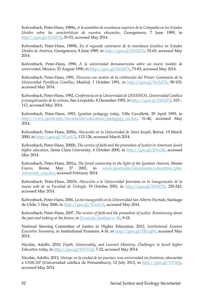Kolvenbach, Peter-Hans, 1989a, *A la asamblea de enseñanza superior de la Compañía en los Estados Unidos sobre las características de nuestra educación*, Georgetown, 7 June 1989, in [http://goo.gl/Hr3dTX,](http://goo.gl/Hr3dTX) 35-53, accessed May 2014.

Kolvenbach, Peter-Hans, 1989b, *En el segundo centenario de la enseñanza jesuítica en Estados Unidos de América*, Georgetown, 8 June 1989, in [http://goo.gl/Hr3dTX,](http://goo.gl/Hr3dTX) 53-65, accessed May 2014.

Kolvenbach, Peter-Hans, 1990, *A la universidad iberoamericana sobre un nuevo modelo de universidad*, Mexico, 23 August 1990, in [http://goo.gl/Hr3dTX,](http://goo.gl/Hr3dTX) 73-83, accessed May 2014.

Kolvenbach, Peter-Hans, 1991, *Discurso con motivo de la celebración del Primer Centenario de la Universidad Pontificia Comillas*, Madrid, 1 October 1991, in [http://goo.gl/Hr3dTX,](http://goo.gl/Hr3dTX) 90-103, accessed May 2014.

Kolvenbach, Peter-Hans, 1992, *Conferencia en la Universidad de UNISINOS*, *Universidad Católica y evangelización de la cultura*, San Leopoldo, 8 December 1992, in [http://goo.gl/Hr3dTX,](http://goo.gl/Hr3dTX) 103 – 112, accessed May 2014.

Kolvenbach, Peter-Hans, 1993, *Ignatian pedagogy today*, Villa Cavalletti, 29 April 1993, in [http://www.sjweb.info/documents/education/pedagogy\\_en.doc,](http://www.sjweb.info/documents/education/pedagogy_en.doc) 31-40, accessed May 2014.

Kolvenbach, Peter-Hans, 2000a, *Alocución en la Universidad de Saint Joseph*, Beirut, 19 March 2000, in [http://goo.gl/YGcsUX,](http://goo.gl/YGcsUX) 112-126, accessed March 2014.

Kolvenbach, Peter-Hans, 2000b, *The service of faith and the promotion of justice in American Jesuit higher education*, Santa Clara University, 6 October 2000, in [http://goo.gl/2lYu2R,](http://goo.gl/2lYu2R) accessed May 2014.

Kolvenbach, Peter-Hans, 2001a, *The Jesuit university in the light of the Ignatian charism*, Monte Cucco, Rome, May 27 2001, in [www.sjweb.info/documents/education/phk](http://www.sjweb.info/documents/education/phk-university_eng.doc)[university\\_eng.doc,](http://www.sjweb.info/documents/education/phk-university_eng.doc) accessed February 2014.

Kolvenbach, Peter-Hans, 2001b, *Alocución a la Universidad Javeriana en la inauguración de la nueva sede de su Facultad de Teología,* 19 October 2001, in [http://goo.gl/Hr3dTX,](http://goo.gl/Hr3dTX) 230-243, accessed May 2014.

Kolvenbach, Peter-Hans, 2006, *Lectio inauguralis en la Universidad San Alberto Hurtado*, Santiago de Chile, 1 May 2006, in [http://goo.gl/YGcsUX,](http://goo.gl/YGcsUX) accessed May 2014.

Kolvenbach, Peter-Hans, 2007, *The service of faith and the promotion of justice. Reminiscing about the past and looking at the future*, in [Promotio Iustitiae n. 96,](http://www.sjweb.info/sjs/PJ/index.cfm?PubTextId=5599) 9-18.

National Steering Committee of Justice in Higher Education, 2012, *Institutional Examen Executive Summary*, in Institutional Examens, 4-16, in [http://goo.gl/ZKLqjW,](http://goo.gl/ZKLqjW) accessed May 2014.

Nicolás, Adolfo, 2010, *Depth, Universality, and Learned Ministry: Challenges to Jesuit higher Education today,* in [http://goo.gl/83VVQt,](http://goo.gl/83VVQt) 7-22, accessed May 2014.

Nicolás, Adolfo, 2013, *Unicap: en la ciudad de los puentes, una universidad sin fronteras*, alocución a UNICAP (Universidad católica de Pernambuco), 12 July 2013, in [http://goo.gl/V37tQe,](http://goo.gl/V37tQe) accessed May 2014.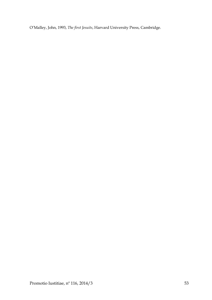O'Malley, John, 1993, *The first Jesuits*, Harvard University Press, Cambridge.